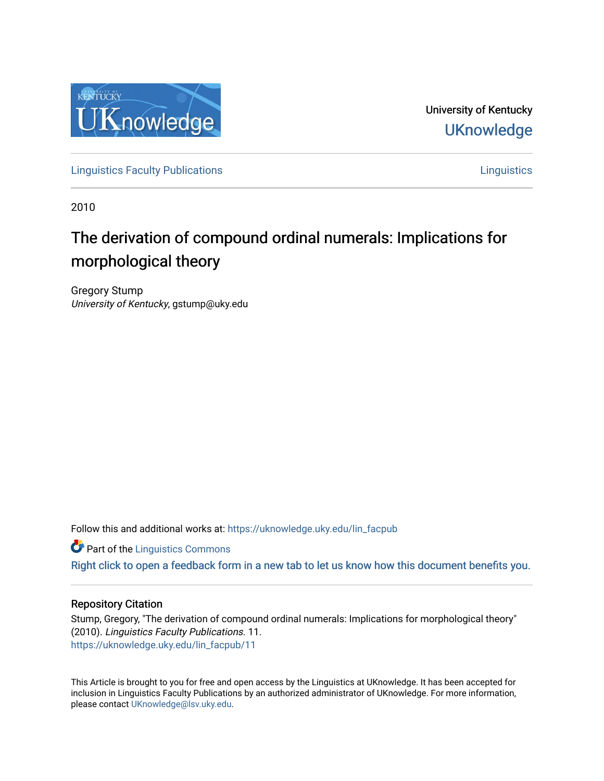

University of Kentucky **UKnowledge** 

[Linguistics Faculty Publications](https://uknowledge.uky.edu/lin_facpub) [Linguistics](https://uknowledge.uky.edu/lin) 

2010

# The derivation of compound ordinal numerals: Implications for morphological theory

Gregory Stump University of Kentucky, gstump@uky.edu

Follow this and additional works at: [https://uknowledge.uky.edu/lin\\_facpub](https://uknowledge.uky.edu/lin_facpub?utm_source=uknowledge.uky.edu%2Flin_facpub%2F11&utm_medium=PDF&utm_campaign=PDFCoverPages)

**Part of the Linguistics Commons** 

[Right click to open a feedback form in a new tab to let us know how this document benefits you.](https://uky.az1.qualtrics.com/jfe/form/SV_9mq8fx2GnONRfz7)

## Repository Citation

Stump, Gregory, "The derivation of compound ordinal numerals: Implications for morphological theory" (2010). Linguistics Faculty Publications. 11. [https://uknowledge.uky.edu/lin\\_facpub/11](https://uknowledge.uky.edu/lin_facpub/11?utm_source=uknowledge.uky.edu%2Flin_facpub%2F11&utm_medium=PDF&utm_campaign=PDFCoverPages) 

This Article is brought to you for free and open access by the Linguistics at UKnowledge. It has been accepted for inclusion in Linguistics Faculty Publications by an authorized administrator of UKnowledge. For more information, please contact [UKnowledge@lsv.uky.edu.](mailto:UKnowledge@lsv.uky.edu)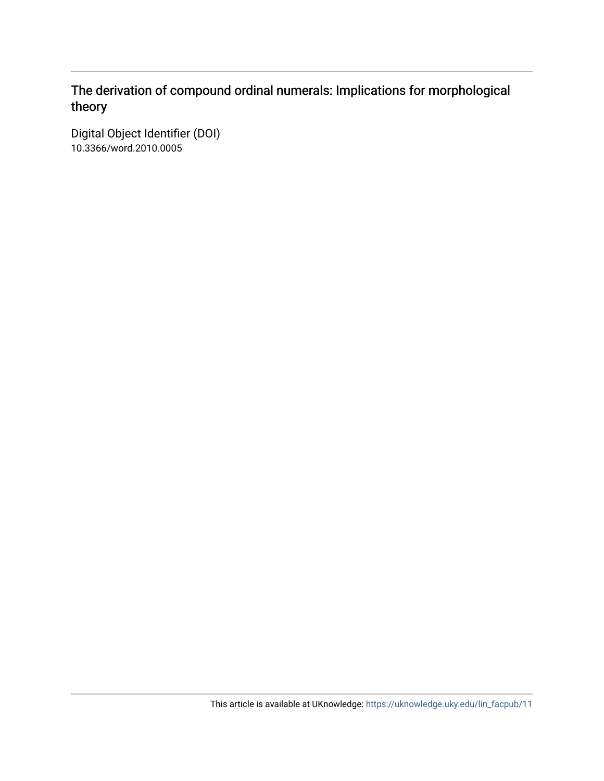## The derivation of compound ordinal numerals: Implications for morphological theory

Digital Object Identifier (DOI) 10.3366/word.2010.0005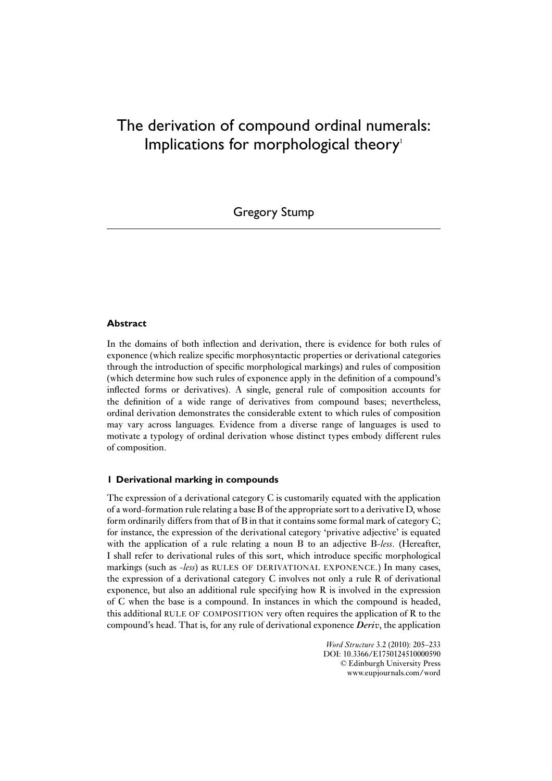## The derivation of compound ordinal numerals: Implications for morphological theory<sup>1</sup>

Gregory Stump

### **Abstract**

In the domains of both inflection and derivation, there is evidence for both rules of exponence (which realize specific morphosyntactic properties or derivational categories through the introduction of specific morphological markings) and rules of composition (which determine how such rules of exponence apply in the definition of a compound's inflected forms or derivatives). A single, general rule of composition accounts for the definition of a wide range of derivatives from compound bases; nevertheless, ordinal derivation demonstrates the considerable extent to which rules of composition may vary across languages. Evidence from a diverse range of languages is used to motivate a typology of ordinal derivation whose distinct types embody different rules of composition.

#### **1 Derivational marking in compounds**

The expression of a derivational category C is customarily equated with the application of a word-formation rule relating a base B of the appropriate sort to a derivative D, whose form ordinarily differs from that of B in that it contains some formal mark of category C; for instance, the expression of the derivational category 'privative adjective' is equated with the application of a rule relating a noun B to an adjective B-*less*. (Hereafter, I shall refer to derivational rules of this sort, which introduce specific morphological markings (such as -*less*) as RULES OF DERIVATIONAL EXPONENCE.) In many cases, the expression of a derivational category C involves not only a rule R of derivational exponence, but also an additional rule specifying how R is involved in the expression of C when the base is a compound. In instances in which the compound is headed, this additional RULE OF COMPOSITION very often requires the application of R to the compound's head. That is, for any rule of derivational exponence *Deriv*, the application

> *Word Structure* 3.2 (2010): 205–233 DOI: 10.3366/E1750124510000590 © Edinburgh University Press www.eupjournals.com/word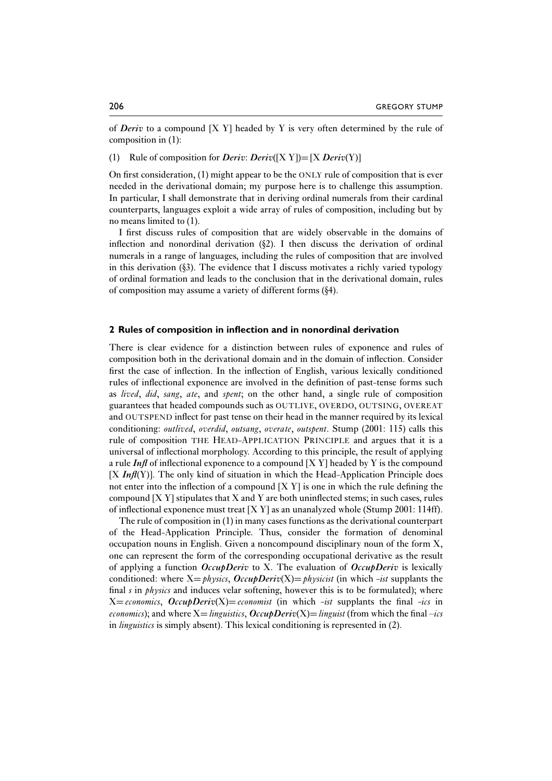of *Deriv* to a compound [X Y] headed by Y is very often determined by the rule of composition in (1):

(1) Rule of composition for *Deriv*: *Deriv*([X Y])= [X *Deriv*(Y)]

On first consideration, (1) might appear to be the ONLY rule of composition that is ever needed in the derivational domain; my purpose here is to challenge this assumption. In particular, I shall demonstrate that in deriving ordinal numerals from their cardinal counterparts, languages exploit a wide array of rules of composition, including but by no means limited to (1).

I first discuss rules of composition that are widely observable in the domains of inflection and nonordinal derivation  $(\& 2)$ . I then discuss the derivation of ordinal numerals in a range of languages, including the rules of composition that are involved in this derivation  $(\S$ 3). The evidence that I discuss motivates a richly varied typology of ordinal formation and leads to the conclusion that in the derivational domain, rules of composition may assume a variety of different forms (§4).

#### **2 Rules of composition in inflection and in nonordinal derivation**

There is clear evidence for a distinction between rules of exponence and rules of composition both in the derivational domain and in the domain of inflection. Consider first the case of inflection. In the inflection of English, various lexically conditioned rules of inflectional exponence are involved in the definition of past-tense forms such as *lived*, *did*, *sang*, *ate*, and *spent*; on the other hand, a single rule of composition guarantees that headed compounds such as OUTLIVE, OVERDO, OUTSING, OVEREAT and OUTSPEND inflect for past tense on their head in the manner required by its lexical conditioning: *outlived*, *overdid*, *outsang*, *overate*, *outspent*. Stump (2001: 115) calls this rule of composition THE HEAD-APPLICATION PRINCIPLE and argues that it is a universal of inflectional morphology. According to this principle, the result of applying a rule *Infl* of inflectional exponence to a compound [X Y] headed by Y is the compound  $[X \ In \mathcal{H}(Y)]$ . The only kind of situation in which the Head-Application Principle does not enter into the inflection of a compound  $[X Y]$  is one in which the rule defining the compound  $[*X Y*] stipulates that *X* and *Y* are both uninflected stems; in such cases, rules$ of inflectional exponence must treat  $[X Y]$  as an unanalyzed whole (Stump 2001: 114ff).

The rule of composition in (1) in many cases functions as the derivational counterpart of the Head-Application Principle. Thus, consider the formation of denominal occupation nouns in English. Given a noncompound disciplinary noun of the form X, one can represent the form of the corresponding occupational derivative as the result of applying a function *OccupDeriv* to X. The evaluation of *OccupDeriv* is lexically conditioned: where  $X = physis$ ,  $OccupDeriv(X) = physis$  (in which *-ist* supplants the final *s* in *physics* and induces velar softening, however this is to be formulated); where  $X=economics, OccupDeriv(X)=economics$  (in which *-ist* supplants the final *-ics* in *economics*); and where  $X =$ *linguistics,*  $OccubDeriv(X) =$  *linguist* (from which the final  $-ics$ in *linguistics* is simply absent). This lexical conditioning is represented in (2).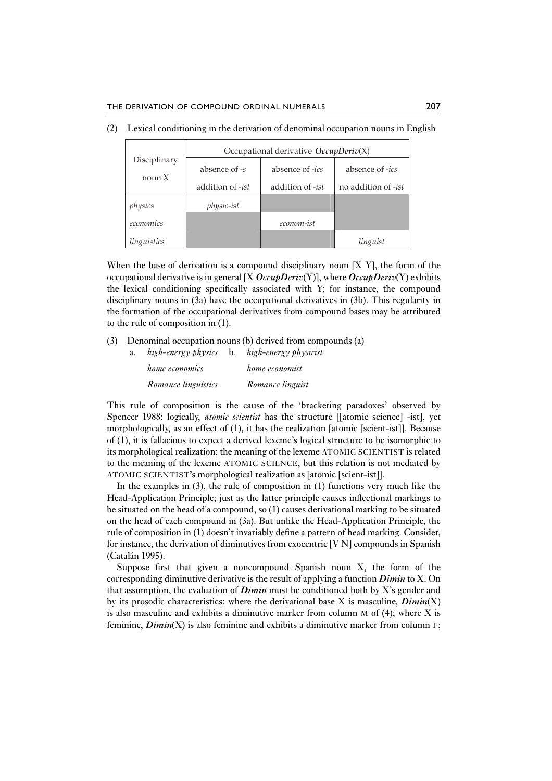|                        | Occupational derivative $OccupDeriv(X)$ |            |                     |  |  |  |  |
|------------------------|-----------------------------------------|------------|---------------------|--|--|--|--|
| Disciplinary<br>noun X | absence of -s<br>absence of -ics        |            | absence of -ics     |  |  |  |  |
|                        | addition of -ist<br>addition of -ist    |            | no addition of -ist |  |  |  |  |
| physics                | physic-ist                              |            |                     |  |  |  |  |
| economics              |                                         | econom-ist |                     |  |  |  |  |
| linguistics            |                                         |            | linguist            |  |  |  |  |

(2) Lexical conditioning in the derivation of denominal occupation nouns in English

When the base of derivation is a compound disciplinary noun  $[X Y]$ , the form of the occupational derivative is in general [X *OccupDeriv*(Y)], where *OccupDeriv*(Y) exhibits the lexical conditioning specifically associated with Y; for instance, the compound disciplinary nouns in (3a) have the occupational derivatives in (3b). This regularity in the formation of the occupational derivatives from compound bases may be attributed to the rule of composition in (1).

(3) Denominal occupation nouns (b) derived from compounds (a)

| a. | high-energy physics   | $\mathbf{b}$ . | high-energy physicist |
|----|-----------------------|----------------|-----------------------|
|    | <i>home economics</i> |                | home economist        |
|    | Romance linguistics   |                | Romance linguist      |

This rule of composition is the cause of the 'bracketing paradoxes' observed by Spencer 1988: logically, *atomic scientist* has the structure [[atomic science] -ist], yet morphologically, as an effect of (1), it has the realization [atomic [scient-ist]]. Because of (1), it is fallacious to expect a derived lexeme's logical structure to be isomorphic to its morphological realization: the meaning of the lexeme ATOMIC SCIENTIST is related to the meaning of the lexeme ATOMIC SCIENCE, but this relation is not mediated by ATOMIC SCIENTIST's morphological realization as [atomic [scient-ist]].

In the examples in (3), the rule of composition in (1) functions very much like the Head-Application Principle; just as the latter principle causes inflectional markings to be situated on the head of a compound, so (1) causes derivational marking to be situated on the head of each compound in (3a). But unlike the Head-Application Principle, the rule of composition in (1) doesn't invariably define a pattern of head marking. Consider, for instance, the derivation of diminutives from exocentric  $[V\ N]$  compounds in Spanish (Catalán 1995).

Suppose first that given a noncompound Spanish noun X, the form of the corresponding diminutive derivative is the result of applying a function *Dimin* to X. On that assumption, the evaluation of *Dimin* must be conditioned both by X's gender and by its prosodic characteristics: where the derivational base X is masculine, *Dimin*(X) is also masculine and exhibits a diminutive marker from column  $M$  of (4); where  $X$  is feminine, *Dimin*(X) is also feminine and exhibits a diminutive marker from column F;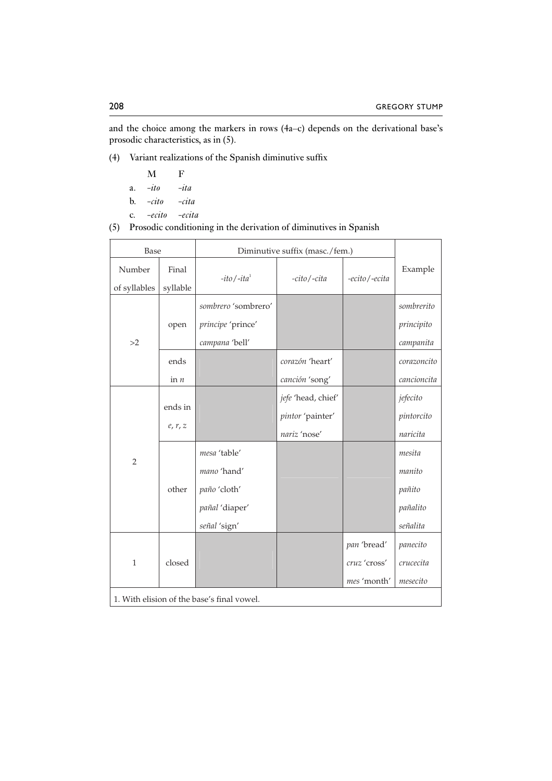and the choice among the markers in rows (4a–c) depends on the derivational base's prosodic characteristics, as in (5).

(4) Variant realizations of the Spanish diminutive suffix

- M F
- a. *-ito -ita*
- b. *-cito -cita*
- c. *-ecito -ecita*
- (5) Prosodic conditioning in the derivation of diminutives in Spanish

| Base                   |                    | Diminutive suffix (masc./fem.)                                                |                                                        |                                            |                                                    |
|------------------------|--------------------|-------------------------------------------------------------------------------|--------------------------------------------------------|--------------------------------------------|----------------------------------------------------|
| Number<br>of syllables | Final<br>syllable  | $-ito$ /- $ita1$                                                              | -ecito / -ecita                                        | Example                                    |                                                    |
| >2                     | open               | sombrero 'sombrero'<br>principe 'prince'<br>campana 'bell'                    |                                                        |                                            | sombrerito<br>principito<br>campanita              |
|                        | ends               |                                                                               | corazón 'heart'                                        |                                            | corazoncito                                        |
|                        | in $n$             |                                                                               | canción 'song'                                         |                                            | cancioncita                                        |
|                        | ends in<br>e, r, z |                                                                               | jefe 'head, chief'<br>pintor 'painter'<br>nariz 'nose' |                                            | jefecito<br>pintorcito<br>naricita                 |
| $\overline{2}$         | other              | mesa 'table'<br>mano 'hand'<br>paño 'cloth'<br>pañal 'diaper'<br>señal 'sign' |                                                        |                                            | mesita<br>manito<br>pañito<br>pañalito<br>señalita |
| $\mathbf{1}$           | closed             |                                                                               |                                                        | pan 'bread'<br>cruz 'cross'<br>mes 'month' | panecito<br>crucecita<br>mesecito                  |
|                        |                    | 1. With elision of the base's final vowel.                                    |                                                        |                                            |                                                    |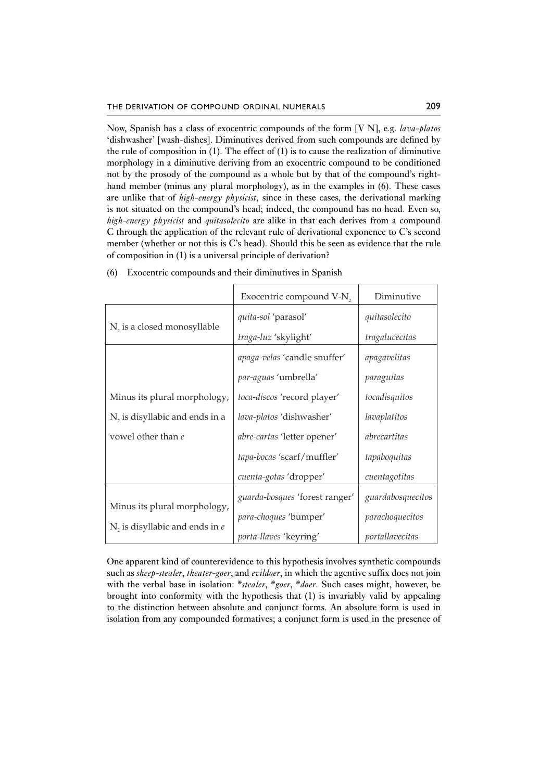Now, Spanish has a class of exocentric compounds of the form [V N], e.g. *lava-platos* 'dishwasher' [wash-dishes]. Diminutives derived from such compounds are defined by the rule of composition in  $(1)$ . The effect of  $(1)$  is to cause the realization of diminutive morphology in a diminutive deriving from an exocentric compound to be conditioned not by the prosody of the compound as a whole but by that of the compound's righthand member (minus any plural morphology), as in the examples in (6). These cases are unlike that of *high-energy physicist*, since in these cases, the derivational marking is not situated on the compound's head; indeed, the compound has no head. Even so, *high-energy physicist* and *quitasolecito* are alike in that each derives from a compound C through the application of the relevant rule of derivational exponence to C's second member (whether or not this is C's head). Should this be seen as evidence that the rule of composition in (1) is a universal principle of derivation?

|                                            | Exocentric compound V-N,       | Diminutive        |
|--------------------------------------------|--------------------------------|-------------------|
| N <sub>2</sub> is a closed monosyllable    | quita-sol 'parasol'            | quitasolecito     |
|                                            | traga-luz 'skylight'           | tragalucecitas    |
|                                            | apaga-velas 'candle snuffer'   | apagavelitas      |
|                                            | par-aguas 'umbrella'           | paraguitas        |
| Minus its plural morphology,               | toca-discos 'record player'    | tocadisquitos     |
| N <sub>2</sub> is disyllabic and ends in a | lava-platos 'dishwasher'       | lavaplatitos      |
| vowel other than e                         | abre-cartas 'letter opener'    | abrecartitas      |
|                                            | tapa-bocas 'scarf/muffler'     | tapaboquitas      |
|                                            | cuenta-gotas 'dropper'         | cuentagotitas     |
|                                            | guarda-bosques 'forest ranger' | guardabosquecitos |
| Minus its plural morphology,               | para-choques 'bumper'          | parachoquecitos   |
| $N$ , is disyllabic and ends in $e$        | porta-llaves 'keyring'         | portallavecitas   |

(6) Exocentric compounds and their diminutives in Spanish

One apparent kind of counterevidence to this hypothesis involves synthetic compounds such as *sheep-stealer*, *theater-goer*, and *evildoer*, in which the agentive suffix does not join with the verbal base in isolation: \**stealer*, \**goer*, \**doer*. Such cases might, however, be brought into conformity with the hypothesis that (1) is invariably valid by appealing to the distinction between absolute and conjunct forms. An absolute form is used in isolation from any compounded formatives; a conjunct form is used in the presence of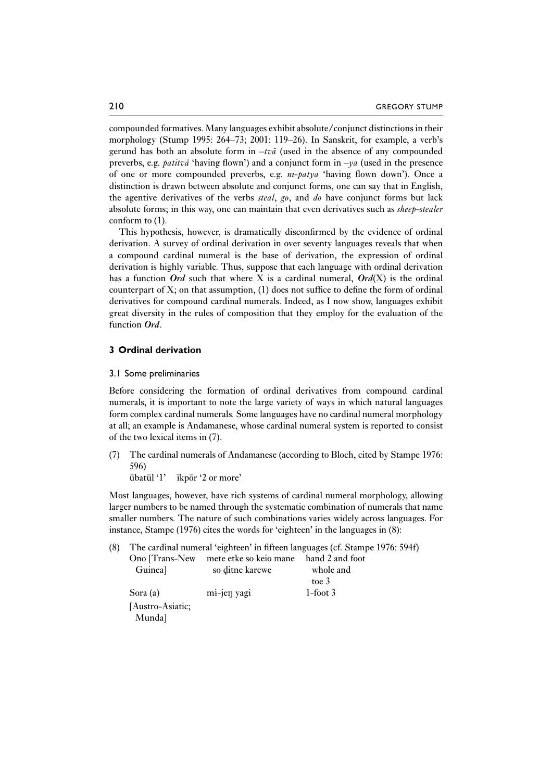compounded formatives. Many languages exhibit absolute/conjunct distinctions in their morphology (Stump 1995: 264–73; 2001: 119–26). In Sanskrit, for example, a verb's gerund has both an absolute form in –*tva¯* (used in the absence of any compounded preverbs, e.g. *patitva* 'having flown') and a conjunct form in  $-\gamma a$  (used in the presence of one or more compounded preverbs, e.g. *ni-patya* 'having flown down'). Once a distinction is drawn between absolute and conjunct forms, one can say that in English, the agentive derivatives of the verbs *steal*, *go*, and *do* have conjunct forms but lack absolute forms; in this way, one can maintain that even derivatives such as *sheep-stealer* conform to (1).

This hypothesis, however, is dramatically disconfirmed by the evidence of ordinal derivation. A survey of ordinal derivation in over seventy languages reveals that when a compound cardinal numeral is the base of derivation, the expression of ordinal derivation is highly variable. Thus, suppose that each language with ordinal derivation has a function *Ord* such that where X is a cardinal numeral,  $Ord(X)$  is the ordinal counterpart of  $X$ ; on that assumption,  $(1)$  does not suffice to define the form of ordinal derivatives for compound cardinal numerals. Indeed, as I now show, languages exhibit great diversity in the rules of composition that they employ for the evaluation of the function *Ord*.

#### **3 Ordinal derivation**

#### 3.1 Some preliminaries

Before considering the formation of ordinal derivatives from compound cardinal numerals, it is important to note the large variety of ways in which natural languages form complex cardinal numerals. Some languages have no cardinal numeral morphology at all; an example is Andamanese, whose cardinal numeral system is reported to consist of the two lexical items in (7).

(7) The cardinal numerals of Andamanese (according to Bloch, cited by Stampe 1976: 596)

 $\bar{u}$ bat $\bar{u}$ l '1'  $\bar{u}$ kpor '2 or more'

Most languages, however, have rich systems of cardinal numeral morphology, allowing larger numbers to be named through the systematic combination of numerals that name smaller numbers. The nature of such combinations varies widely across languages. For instance, Stampe (1976) cites the words for 'eighteen' in the languages in (8):

(8) The cardinal numeral 'eighteen' in fifteen languages (cf. Stampe 1976: 594f) Ono [Trans-New mete etke so keio mane hand 2 and foot Guinea] so ditne karewe whole and toe 3 Sora (a) mi-jen yagi 1-foot 3 [Austro-Asiatic; Munda]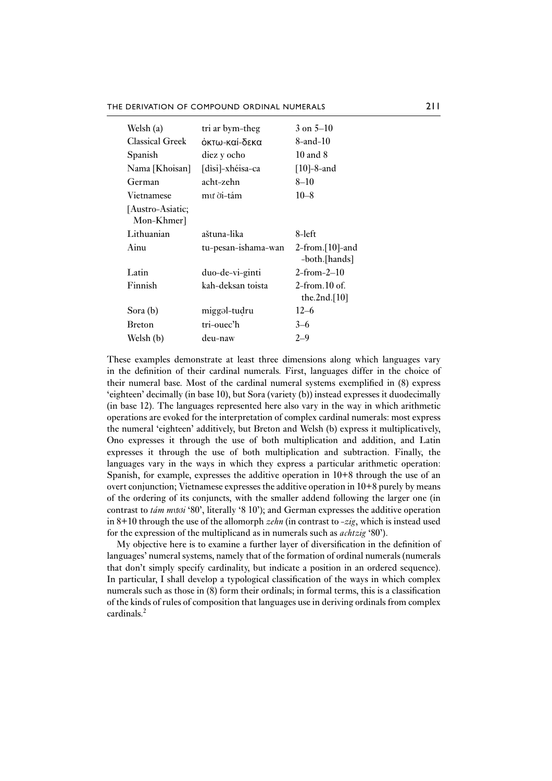THE DERIVATION OF COMPOUND ORDINAL NUMERALS 211

| Welsh (a)                      | tri ar bym-theg     | $3 \text{ on } 5 - 10$                          |
|--------------------------------|---------------------|-------------------------------------------------|
| <b>Classical Greek</b>         | όκτω-καί-δεκα       | 8-and-10                                        |
| Spanish                        | diez y ocho         | $10$ and $8$                                    |
| Nama [Khoisan]                 | [dìsi]-xhéisa-ca    | $[10]-8$ -and                                   |
| German                         | acht-zehn           | $8 - 10$                                        |
| Vietnamese                     | mư di-tám           | $10 - 8$                                        |
| [Austro-Asiatic;<br>Mon-Khmer] |                     |                                                 |
| Lithuanian                     | aštuna-lika         | 8-left                                          |
| Ainu                           | tu-pesan-ishama-wan | $2$ -from.[10]-and<br>-both.[hands]             |
| Latin                          | duo-de-vi-ginti     | $2$ -from-2–10                                  |
| Finnish                        | kah-deksan toista   | $2$ -from $10$ of $\epsilon$<br>the.2nd. $[10]$ |
| Sora (b)                       | miggəl-tudru        | $12 - 6$                                        |
| <b>Breton</b>                  | tri-ouec'h          | $3 - 6$                                         |
| Welsh (b)                      | deu-naw             | $2 - 9$                                         |

These examples demonstrate at least three dimensions along which languages vary in the definition of their cardinal numerals. First, languages differ in the choice of their numeral base. Most of the cardinal numeral systems exemplified in (8) express 'eighteen' decimally (in base 10), but Sora (variety (b)) instead expresses it duodecimally (in base 12). The languages represented here also vary in the way in which arithmetic operations are evoked for the interpretation of complex cardinal numerals: most express the numeral 'eighteen' additively, but Breton and Welsh (b) express it multiplicatively, Ono expresses it through the use of both multiplication and addition, and Latin expresses it through the use of both multiplication and subtraction. Finally, the languages vary in the ways in which they express a particular arithmetic operation: Spanish, for example, expresses the additive operation in 10+8 through the use of an overt conjunction; Vietnamese expresses the additive operation in 10+8 purely by means of the ordering of its conjuncts, with the smaller addend following the larger one (in contrast to *tám m*ươ*i* '80', literally '8 10'); and German expresses the additive operation in 8+10 through the use of the allomorph *zehn* (in contrast to -*zig*, which is instead used for the expression of the multiplicand as in numerals such as *achtzig* '80').

My objective here is to examine a further layer of diversification in the definition of languages' numeral systems, namely that of the formation of ordinal numerals (numerals that don't simply specify cardinality, but indicate a position in an ordered sequence). In particular, I shall develop a typological classification of the ways in which complex numerals such as those in (8) form their ordinals; in formal terms, this is a classification of the kinds of rules of composition that languages use in deriving ordinals from complex cardinals.2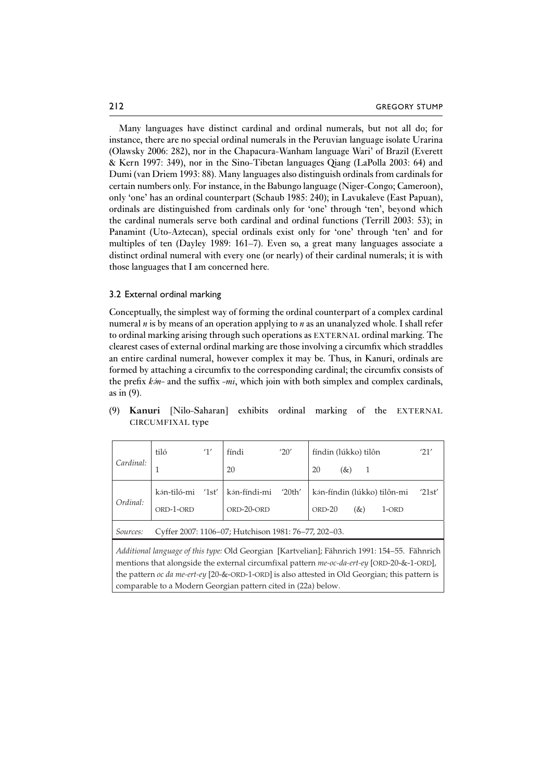Many languages have distinct cardinal and ordinal numerals, but not all do; for instance, there are no special ordinal numerals in the Peruvian language isolate Urarina (Olawsky 2006: 282), nor in the Chapacura-Wanham language Wari' of Brazil (Everett & Kern 1997: 349), nor in the Sino-Tibetan languages Qiang (LaPolla 2003: 64) and Dumi (van Driem 1993: 88). Many languages also distinguish ordinals from cardinals for certain numbers only. For instance, in the Babungo language (Niger-Congo; Cameroon), only 'one' has an ordinal counterpart (Schaub 1985: 240); in Lavukaleve (East Papuan), ordinals are distinguished from cardinals only for 'one' through 'ten', beyond which the cardinal numerals serve both cardinal and ordinal functions (Terrill 2003: 53); in Panamint (Uto-Aztecan), special ordinals exist only for 'one' through 'ten' and for multiples of ten (Dayley 1989: 161–7). Even so, a great many languages associate a distinct ordinal numeral with every one (or nearly) of their cardinal numerals; it is with those languages that I am concerned here.

#### 3.2 External ordinal marking

Conceptually, the simplest way of forming the ordinal counterpart of a complex cardinal numeral *n* is by means of an operation applying to *n* as an unanalyzed whole. I shall refer to ordinal marking arising through such operations as EXTERNAL ordinal marking. The clearest cases of external ordinal marking are those involving a circumfix which straddles an entire cardinal numeral, however complex it may be. Thus, in Kanuri, ordinals are formed by attaching a circumfix to the corresponding cardinal; the circumfix consists of the prefix *kfin-* and the suffix -*mi*, which join with both simplex and complex cardinals, as in (9).

|                                                                                                                                                                                                                                                                                                                                                               | tiló                                                 | 1'    | fíndi        | '20'   | fíndin (lúkko) tilôn         | '21'   |
|---------------------------------------------------------------------------------------------------------------------------------------------------------------------------------------------------------------------------------------------------------------------------------------------------------------------------------------------------------------|------------------------------------------------------|-------|--------------|--------|------------------------------|--------|
| Cardinal:                                                                                                                                                                                                                                                                                                                                                     | T                                                    |       | 20           |        | 20<br>(&)                    |        |
|                                                                                                                                                                                                                                                                                                                                                               | kán-tiló-mi                                          | '1st' | kán-fíndi-mi | '20th' | kán-fíndin (lúkko) tilôn-mi  | '21st' |
| Ordinal:                                                                                                                                                                                                                                                                                                                                                      | ORD-1-ORD                                            |       | ORD-20-ORD   |        | ORD-20<br>$(\&)$<br>$1$ -ORD |        |
| Sources:                                                                                                                                                                                                                                                                                                                                                      | Cyffer 2007: 1106–07; Hutchison 1981: 76–77, 202–03. |       |              |        |                              |        |
| Additional language of this type: Old Georgian [Kartvelian]; Fähnrich 1991: 154-55. Fähnrich<br>mentions that alongside the external circumfixal pattern me-oc-da-ert-ey [ORD-20-&-1-ORD],<br>the pattern oc da me-ert-ey [20-&-ORD-1-ORD] is also attested in Old Georgian; this pattern is<br>comparable to a Modern Georgian pattern cited in (22a) below. |                                                      |       |              |        |                              |        |

(9) **Kanuri** [Nilo-Saharan] exhibits ordinal marking of the EXTERNAL CIRCUMFIXAL type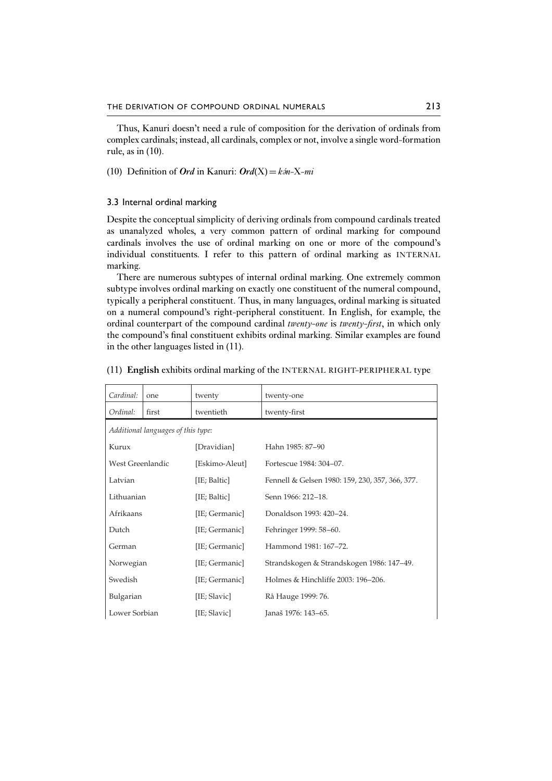Thus, Kanuri doesn't need a rule of composition for the derivation of ordinals from complex cardinals; instead, all cardinals, complex or not, involve a single word-formation rule, as in (10).

(10) Definition of *Ord* in Kanuri:  $Ord(X) = k\hat{m} - X - m\hat{i}$ 

#### 3.3 Internal ordinal marking

Despite the conceptual simplicity of deriving ordinals from compound cardinals treated as unanalyzed wholes, a very common pattern of ordinal marking for compound cardinals involves the use of ordinal marking on one or more of the compound's individual constituents. I refer to this pattern of ordinal marking as INTERNAL marking.

There are numerous subtypes of internal ordinal marking. One extremely common subtype involves ordinal marking on exactly one constituent of the numeral compound, typically a peripheral constituent. Thus, in many languages, ordinal marking is situated on a numeral compound's right-peripheral constituent. In English, for example, the ordinal counterpart of the compound cardinal *twenty-one* is *twenty-first*, in which only the compound's final constituent exhibits ordinal marking. Similar examples are found in the other languages listed in (11).

| Cardinal:                          | one   | twenty         | twenty-one                                      |
|------------------------------------|-------|----------------|-------------------------------------------------|
| Ordinal:                           | first | twentieth      | twenty-first                                    |
| Additional languages of this type: |       |                |                                                 |
| Kurux                              |       | [Dravidian]    | Hahn 1985: 87-90                                |
| West Greenlandic                   |       | [Eskimo-Aleut] | Fortescue 1984: 304-07.                         |
| Latvian                            |       | [IE; Baltic]   | Fennell & Gelsen 1980: 159, 230, 357, 366, 377. |
| Lithuanian                         |       | [IE; Baltic]   | Senn 1966: 212-18.                              |
| Afrikaans                          |       | [IE; Germanic] | Donaldson 1993: 420–24.                         |
| Dutch                              |       | [IE; Germanic] | Fehringer 1999: 58-60.                          |
| German                             |       | [IE; Germanic] | Hammond 1981: 167-72.                           |
| Norwegian                          |       | [IE; Germanic] | Strandskogen & Strandskogen 1986: 147–49.       |
| Swedish                            |       | [IE; Germanic] | Holmes & Hinchliffe 2003: 196-206.              |
| Bulgarian<br>[IE; Slavic]          |       |                | Rå Hauge 1999: 76.                              |
| Lower Sorbian                      |       | [IE; Slavic]   | Janaš 1976: 143–65.                             |

#### (11) **English** exhibits ordinal marking of the INTERNAL RIGHT-PERIPHERAL type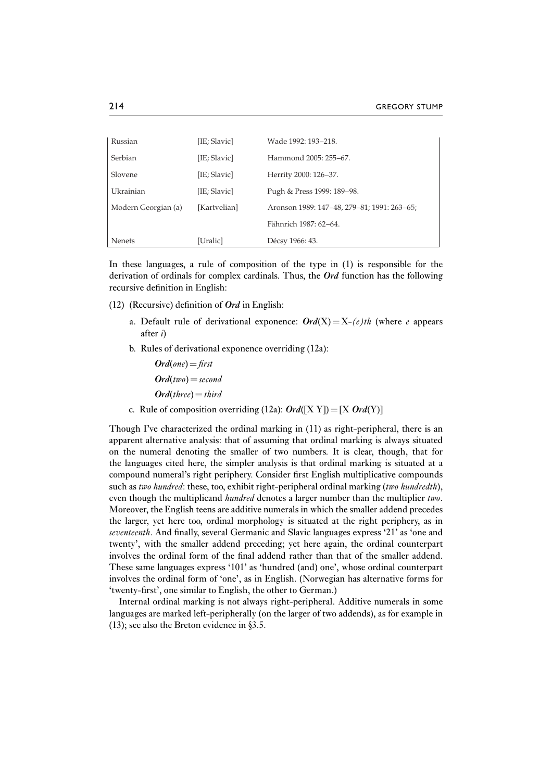| Russian             | [IE; Slavic] | Wade 1992: 193–218.                         |
|---------------------|--------------|---------------------------------------------|
| Serbian             | [IE; Slavic] | Hammond 2005: 255–67.                       |
| Slovene             | [IE; Slavic] | Herrity 2000: 126–37.                       |
| Ukrainian           | [IE; Slavic] | Pugh & Press 1999: 189-98.                  |
| Modern Georgian (a) | [Kartvelian] | Aronson 1989: 147–48, 279–81; 1991: 263–65; |
|                     |              | Fähnrich 1987: 62–64.                       |
| <b>Nenets</b>       | [Uralic]     | Décsy 1966: 43.                             |

In these languages, a rule of composition of the type in (1) is responsible for the derivation of ordinals for complex cardinals. Thus, the *Ord* function has the following recursive definition in English:

- (12) (Recursive) definition of *Ord* in English:
	- a. Default rule of derivational exponence:  $Ord(X) = X-(e)th$  (where *e* appears after *i*)
	- b. Rules of derivational exponence overriding (12a):

 $Ord(one)=$ *first Ord*(*two*)=*second Ord*(*three*)=*third*

c. Rule of composition overriding (12a):  $Ord([X Y]) = [X Ord(Y)]$ 

Though I've characterized the ordinal marking in (11) as right-peripheral, there is an apparent alternative analysis: that of assuming that ordinal marking is always situated on the numeral denoting the smaller of two numbers. It is clear, though, that for the languages cited here, the simpler analysis is that ordinal marking is situated at a compound numeral's right periphery. Consider first English multiplicative compounds such as *two hundred*: these, too, exhibit right-peripheral ordinal marking (*two hundredth*), even though the multiplicand *hundred* denotes a larger number than the multiplier *two*. Moreover, the English teens are additive numerals in which the smaller addend precedes the larger, yet here too, ordinal morphology is situated at the right periphery, as in *seventeenth*. And finally, several Germanic and Slavic languages express '21' as 'one and twenty', with the smaller addend preceding; yet here again, the ordinal counterpart involves the ordinal form of the final addend rather than that of the smaller addend. These same languages express '101' as 'hundred (and) one', whose ordinal counterpart involves the ordinal form of 'one', as in English. (Norwegian has alternative forms for 'twenty-first', one similar to English, the other to German.)

Internal ordinal marking is not always right-peripheral. Additive numerals in some languages are marked left-peripherally (on the larger of two addends), as for example in (13); see also the Breton evidence in §3.5.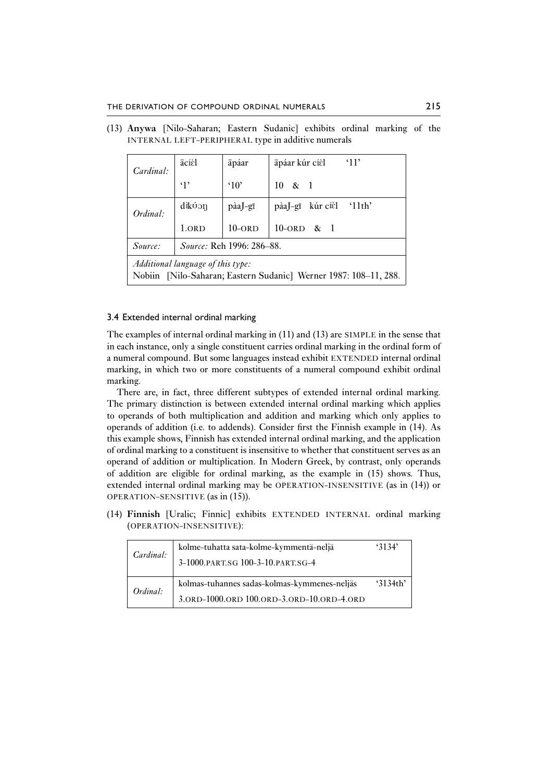| Cardinal:                                                        | ācíèl                            | āpáar                | $^{\circ}11'$<br>āpáar kúr cíèl                 |  |  |
|------------------------------------------------------------------|----------------------------------|----------------------|-------------------------------------------------|--|--|
|                                                                  | $\cdot_1$                        | $^{\circ}10^{\circ}$ | $10 \& 1$                                       |  |  |
| Ordinal:                                                         | dikúon                           | pàaJ-gī              | kúr cíèl<br>'11th'<br>$p\hat{a}a$ ]– $q\bar{1}$ |  |  |
|                                                                  | 1.ORD                            | $10$ -ord            | $10$ -ord & 1                                   |  |  |
| Source:                                                          | <i>Source:</i> Reh 1996: 286–88. |                      |                                                 |  |  |
| <i>Additional language of this type:</i>                         |                                  |                      |                                                 |  |  |
| Nobiin [Nilo-Saharan; Eastern Sudanic] Werner 1987: 108-11, 288. |                                  |                      |                                                 |  |  |

(13) **Anywa** [Nilo-Saharan; Eastern Sudanic] exhibits ordinal marking of the INTERNAL LEFT-PERIPHERAL type in additive numerals

#### 3.4 Extended internal ordinal marking

The examples of internal ordinal marking in (11) and (13) are SIMPLE in the sense that in each instance, only a single constituent carries ordinal marking in the ordinal form of a numeral compound. But some languages instead exhibit EXTENDED internal ordinal marking, in which two or more constituents of a numeral compound exhibit ordinal marking.

There are, in fact, three different subtypes of extended internal ordinal marking. The primary distinction is between extended internal ordinal marking which applies to operands of both multiplication and addition and marking which only applies to operands of addition (i.e. to addends). Consider first the Finnish example in (14). As this example shows, Finnish has extended internal ordinal marking, and the application of ordinal marking to a constituent is insensitive to whether that constituent serves as an operand of addition or multiplication. In Modern Greek, by contrast, only operands of addition are eligible for ordinal marking, as the example in (15) shows. Thus, extended internal ordinal marking may be OPERATION-INSENSITIVE (as in (14)) or OPERATION-SENSITIVE (as in (15)).

(14) **Finnish** [Uralic; Finnic] exhibits EXTENDED INTERNAL ordinal marking (OPERATION-INSENSITIVE):

| Cardinal: | kolme-tuhatta sata-kolme-kymmentä-neljä<br>3-1000. PART.SG 100-3-10. PART.SG-4 | 3134'      |
|-----------|--------------------------------------------------------------------------------|------------|
| Ordinal:  | kolmas-tuhannes sadas-kolmas-kymmenes-neljäs                                   | $3134$ th' |
|           | 3.ORD-1000.ORD 100.ORD-3.ORD-10.ORD-4.ORD                                      |            |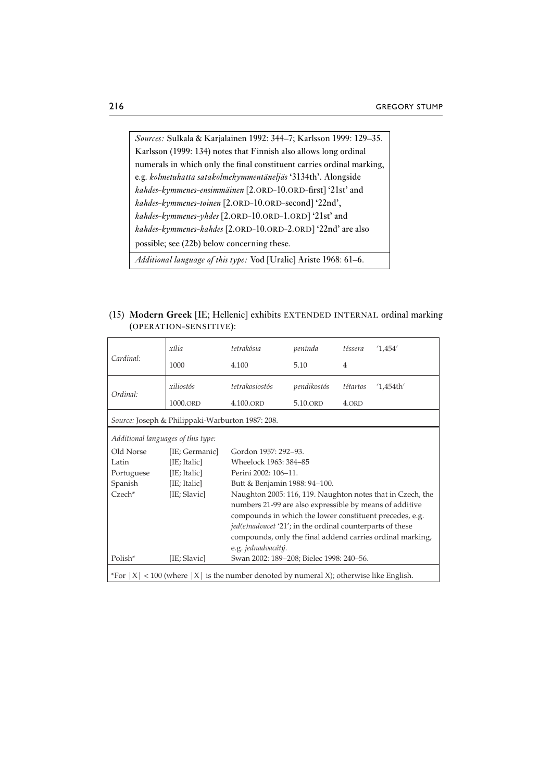*Sources:* Sulkala & Karjalainen 1992: 344–7; Karlsson 1999: 129–35. Karlsson (1999: 134) notes that Finnish also allows long ordinal numerals in which only the final constituent carries ordinal marking, e.g. *kolmetuhatta satakolmekymmentäneljäs* '3134th'. Alongside *kahdes-kymmenes-ensimmäinen* [2.ORD-10.ORD-first] '21st' and *kahdes-kymmenes-toinen* [2.ORD-10.ORD-second] '22nd', *kahdes-kymmenes-yhdes* [2.ORD-10.ORD-1.ORD] '21st' and *kahdes-kymmenes-kahdes* [2.ORD-10.ORD-2.ORD] '22nd' are also possible; see (22b) below concerning these. *Additional language of this type:* Vod [Uralic] Ariste 1968: 61–6.

(15) **Modern Greek** [IE; Hellenic] exhibits EXTENDED INTERNAL ordinal marking (OPERATION-SENSITIVE):

|                                                  | xília                              | tetrakósia                                                                                 | penínda     | téssera                  | '1,454'                                                    |  |  |
|--------------------------------------------------|------------------------------------|--------------------------------------------------------------------------------------------|-------------|--------------------------|------------------------------------------------------------|--|--|
| Cardinal:                                        | 1000                               | 4.100                                                                                      | 5.10        | 4                        |                                                            |  |  |
| Ordinal:                                         | xiliostós                          | tetrakosiostós                                                                             | pendikostós | tétartos<br>$'1,454$ th' |                                                            |  |  |
|                                                  | 1000.ORD                           | 4.100.ORD                                                                                  | 5.10.ORD    | 4.ORD                    |                                                            |  |  |
| Source: Joseph & Philippaki-Warburton 1987: 208. |                                    |                                                                                            |             |                          |                                                            |  |  |
|                                                  | Additional languages of this type: |                                                                                            |             |                          |                                                            |  |  |
| Old Norse                                        | [IE; Germanic]                     | Gordon 1957: 292-93.                                                                       |             |                          |                                                            |  |  |
| Latin                                            | [IE; Italic]                       | Wheelock 1963: 384-85                                                                      |             |                          |                                                            |  |  |
| Portuguese                                       | [IE; Italic]                       | Perini 2002: 106-11.                                                                       |             |                          |                                                            |  |  |
| Spanish                                          | [IE; Italic]                       | Butt & Benjamin 1988: 94-100.                                                              |             |                          |                                                            |  |  |
| $Czech*$                                         | [IE; Slavic]                       |                                                                                            |             |                          | Naughton 2005: 116, 119. Naughton notes that in Czech, the |  |  |
|                                                  |                                    | numbers 21-99 are also expressible by means of additive                                    |             |                          |                                                            |  |  |
|                                                  |                                    | compounds in which the lower constituent precedes, e.g.                                    |             |                          |                                                            |  |  |
|                                                  |                                    | <i>jed(e)nadvacet '21';</i> in the ordinal counterparts of these                           |             |                          |                                                            |  |  |
|                                                  |                                    | compounds, only the final addend carries ordinal marking,                                  |             |                          |                                                            |  |  |
|                                                  |                                    | e.g. jednadvacátý.                                                                         |             |                          |                                                            |  |  |
| Polish*                                          | [IE; Slavic]                       | Swan 2002: 189-208; Bielec 1998: 240-56.                                                   |             |                          |                                                            |  |  |
|                                                  |                                    | *For $ X $ < 100 (where $ X $ is the number denoted by numeral X); otherwise like English. |             |                          |                                                            |  |  |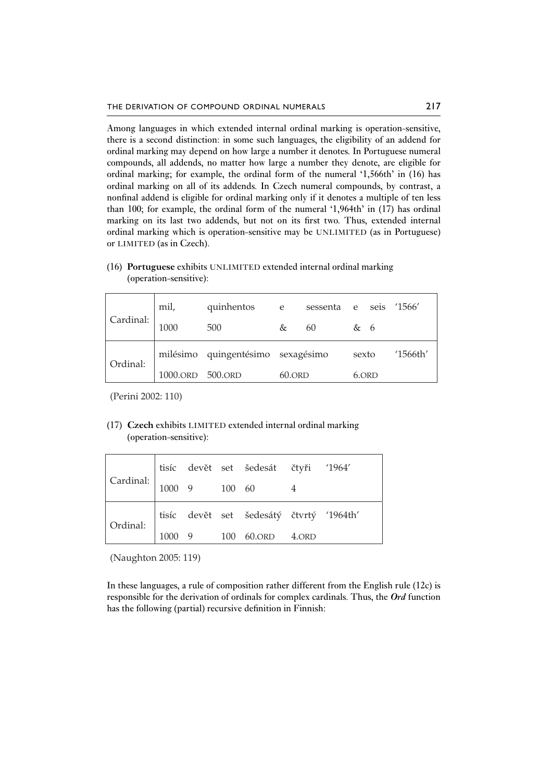Among languages in which extended internal ordinal marking is operation-sensitive, there is a second distinction: in some such languages, the eligibility of an addend for ordinal marking may depend on how large a number it denotes. In Portuguese numeral compounds, all addends, no matter how large a number they denote, are eligible for ordinal marking; for example, the ordinal form of the numeral '1,566th' in (16) has ordinal marking on all of its addends. In Czech numeral compounds, by contrast, a nonfinal addend is eligible for ordinal marking only if it denotes a multiple of ten less than 100; for example, the ordinal form of the numeral '1,964th' in (17) has ordinal marking on its last two addends, but not on its first two. Thus, extended internal ordinal marking which is operation-sensitive may be UNLIMITED (as in Portuguese) or LIMITED (as in Czech).

|           | mil,             | quinhentos e                      |   | sessenta |       |       | e seis '1566' |
|-----------|------------------|-----------------------------------|---|----------|-------|-------|---------------|
| Cardinal: | 1000             | 500                               | & | 60       | & 6   |       |               |
| Ordinal:  |                  | milésimo quingentésimo sexagésimo |   |          | sexto |       | '1566th'      |
|           | 1000.ORD 500.ORD |                                   |   | 60.ORD   |       | 6.ORD |               |

(16) **Portuguese** exhibits UNLIMITED extended internal ordinal marking (operation-sensitive):

(Perini 2002: 110)

## (17) **Czech** exhibits LIMITED extended internal ordinal marking (operation-sensitive):

| Cardinal: $\begin{vmatrix} 1000 & 9 & 100 & 60 \ 1000 & 9 & 100 & 60 \end{vmatrix}$ |  | $\begin{tabular}{ l l } tisíc & devět & set & šedesát & čtyři & '1964'\\ \end{tabular}$ |  |
|-------------------------------------------------------------------------------------|--|-----------------------------------------------------------------------------------------|--|
|                                                                                     |  |                                                                                         |  |
| Ordinal: $\begin{bmatrix} \text{t} \text{ts} \\ \text{10} \end{bmatrix}$            |  | tisíc devět set šedesátý čtvrtý '1964th'                                                |  |
|                                                                                     |  | 1000 9 100 60.ORD 4.ORD                                                                 |  |

(Naughton 2005: 119)

In these languages, a rule of composition rather different from the English rule (12c) is responsible for the derivation of ordinals for complex cardinals. Thus, the *Ord* function has the following (partial) recursive definition in Finnish: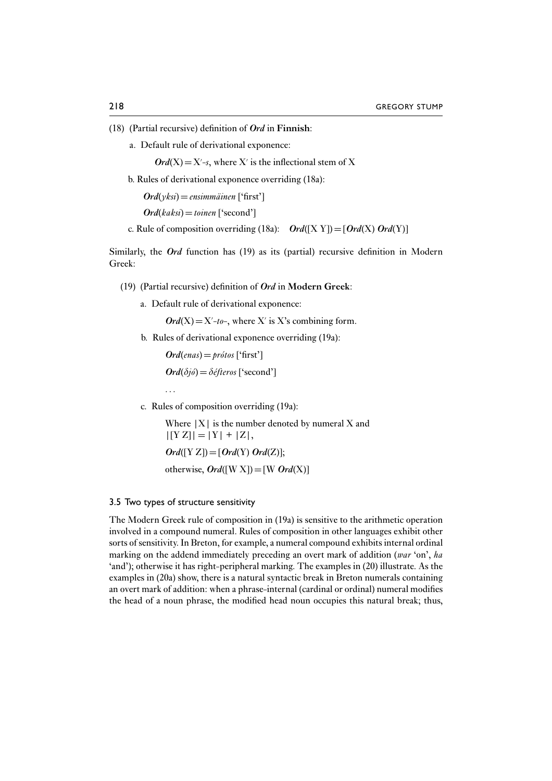- (18) (Partial recursive) definition of *Ord* in **Finnish**:
	- a. Default rule of derivational exponence:

 $Ord(X) = X - s$ , where X' is the inflectional stem of X

b. Rules of derivational exponence overriding (18a):

*Ord*(*yksi*)=*ensimmäinen* ['first']

 $Ord(kaksi)=toinen$  ['second']

c. Rule of composition overriding (18a):  $Ord([X Y]) = [Ord(X) Ord(Y)]$ 

Similarly, the *Ord* function has (19) as its (partial) recursive definition in Modern Greek:

- (19) (Partial recursive) definition of *Ord* in **Modern Greek**:
	- a. Default rule of derivational exponence:

 $Ord(X) = X'-to-$ , where X' is X's combining form.

b. Rules of derivational exponence overriding (19a):

 $Ord(\text{enas}) = \text{prótos}$  ['first']  $Ord(\delta i\delta)=\delta e\delta f$ *eros* ['second']

c. Rules of composition overriding (19a):

Where  $|X|$  is the number denoted by numeral X and  $|[YZ]| = |Y| + |Z|$ ,  $Ord([Y Z]) = [Ord(Y) Ord(Z)];$ 

otherwise,  $Ord([W X]) = [W Ord(X)]$ 

#### 3.5 Two types of structure sensitivity

...

The Modern Greek rule of composition in (19a) is sensitive to the arithmetic operation involved in a compound numeral. Rules of composition in other languages exhibit other sorts of sensitivity. In Breton, for example, a numeral compound exhibits internal ordinal marking on the addend immediately preceding an overt mark of addition (*war* 'on', *ha* 'and'); otherwise it has right-peripheral marking. The examples in (20) illustrate. As the examples in (20a) show, there is a natural syntactic break in Breton numerals containing an overt mark of addition: when a phrase-internal (cardinal or ordinal) numeral modifies the head of a noun phrase, the modified head noun occupies this natural break; thus,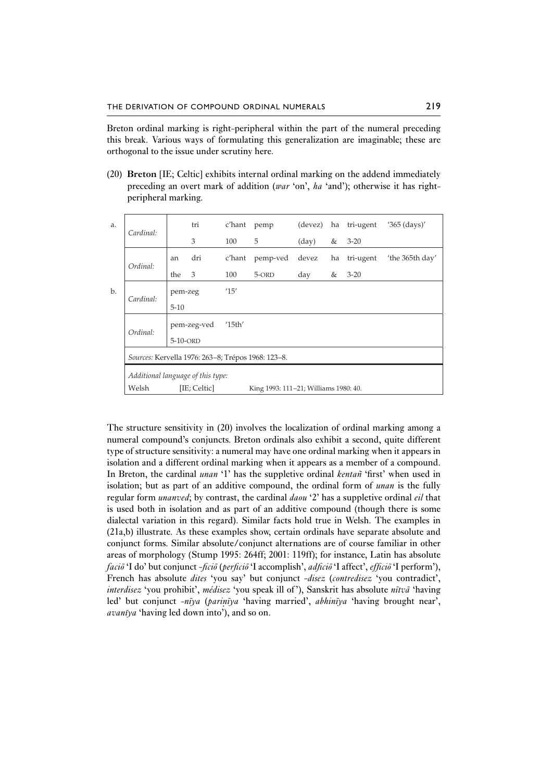Breton ordinal marking is right-peripheral within the part of the numeral preceding this break. Various ways of formulating this generalization are imaginable; these are orthogonal to the issue under scrutiny here.

(20) **Breton** [IE; Celtic] exhibits internal ordinal marking on the addend immediately preceding an overt mark of addition (*war* 'on', *ha* 'and'); otherwise it has rightperipheral marking.

| a. | Cardinal:                                          |          | tri          | c'hant                       | pemp                                  | (devez)        | ha | tri-ugent | $'365$ (days)'  |
|----|----------------------------------------------------|----------|--------------|------------------------------|---------------------------------------|----------------|----|-----------|-----------------|
|    |                                                    |          | 3            | 100                          | 5                                     | $\text{(day)}$ | &  | $3 - 20$  |                 |
|    | Ordinal:                                           | an       | dri          | c'hant                       | pemp-ved                              | devez          | ha | tri-ugent | 'the 365th day' |
|    |                                                    | the      | 3            | 100                          | 5-ORD                                 | day            | &  | $3 - 20$  |                 |
| b. | Cardinal:                                          | pem-zeg  |              | '15'                         |                                       |                |    |           |                 |
|    |                                                    | $5 - 10$ |              |                              |                                       |                |    |           |                 |
|    | Ordinal:                                           |          | pem-zeg-ved  | $^{\prime}$ 15th $^{\prime}$ |                                       |                |    |           |                 |
|    |                                                    | 5-10-ORD |              |                              |                                       |                |    |           |                 |
|    | Sources: Kervella 1976: 263-8; Trépos 1968: 123-8. |          |              |                              |                                       |                |    |           |                 |
|    | Additional language of this type:                  |          |              |                              |                                       |                |    |           |                 |
|    | Welsh                                              |          | [IE; Celtic] |                              | King 1993: 111–21; Williams 1980: 40. |                |    |           |                 |

The structure sensitivity in (20) involves the localization of ordinal marking among a numeral compound's conjuncts. Breton ordinals also exhibit a second, quite different type of structure sensitivity: a numeral may have one ordinal marking when it appears in isolation and a different ordinal marking when it appears as a member of a compound. In Breton, the cardinal *unan* '1' has the suppletive ordinal *kentañ* 'first' when used in isolation; but as part of an additive compound, the ordinal form of *unan* is the fully regular form *unanved*; by contrast, the cardinal *daou* '2' has a suppletive ordinal *eil* that is used both in isolation and as part of an additive compound (though there is some dialectal variation in this regard). Similar facts hold true in Welsh. The examples in (21a,b) illustrate. As these examples show, certain ordinals have separate absolute and conjunct forms. Similar absolute/conjunct alternations are of course familiar in other areas of morphology (Stump 1995: 264ff; 2001: 119ff); for instance, Latin has absolute *facio¯* 'I do' but conjunct *-ficio¯* (*perficio¯* 'I accomplish', *adficio¯* 'I affect', *efficio¯* 'I perform'), French has absolute *dites* 'you say' but conjunct *-disez* (*contredisez* 'you contradict', *interdisez* 'you prohibit', *médisez* 'you speak ill of'), Sanskrit has absolute *nītvā* 'having led' but conjunct *-nīya (parinīya '*having married', *abhinīya 'having brought near'*, *avanīya 'having led down into'*), and so on. *avan¯ıya* 'having led down into'), and so on.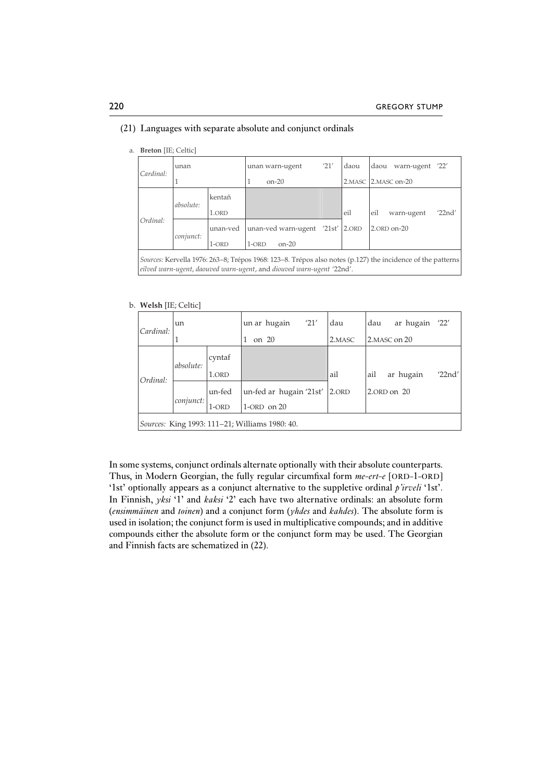| a. | <b>Breton</b> [IE; Celtic]                                                                                                                                                          |           |          |         |                                  |      |        |      |                 |        |
|----|-------------------------------------------------------------------------------------------------------------------------------------------------------------------------------------|-----------|----------|---------|----------------------------------|------|--------|------|-----------------|--------|
|    | Cardinal:                                                                                                                                                                           | unan      |          |         | unan warn-ugent                  | '21' | daou   | daou | warn-ugent '22' |        |
|    |                                                                                                                                                                                     |           |          |         | $on-20$                          |      | 2.MASC |      | 2. MASC on-20   |        |
|    |                                                                                                                                                                                     | absolute: | kentañ   |         |                                  |      |        |      |                 |        |
|    |                                                                                                                                                                                     |           | 1.ORD    |         |                                  |      | eil    | eil  | warn-ugent      | '22nd' |
|    | Ordinal:                                                                                                                                                                            | conjunct: | unan-ved |         | unan-ved warn-ugent '21st' 2.0RD |      |        |      | 2.ORD on-20     |        |
|    |                                                                                                                                                                                     |           | $1$ -ORD | $1-ORD$ | $on-20$                          |      |        |      |                 |        |
|    | Sources: Kervella 1976: 263–8; Trépos 1968: 123–8. Trépos also notes (p.127) the incidence of the patterns<br>eilved warn-ugent, daouved warn-ugent, and diouved warn-ugent '22nd'. |           |          |         |                                  |      |        |      |                 |        |

#### (21) Languages with separate absolute and conjunct ordinals

#### b. **Welsh** [IE; Celtic]

| un<br>Cardinal: |           | un ar hugain                 | '21'                                                               | dau                     | dau           | ar hugain | '22'                     |
|-----------------|-----------|------------------------------|--------------------------------------------------------------------|-------------------------|---------------|-----------|--------------------------|
| 1               |           | on 20                        |                                                                    | 2.MASC                  | 2. MASC on 20 |           |                          |
|                 |           |                              |                                                                    |                         |               |           |                          |
|                 | 1.ORD     |                              |                                                                    | ail                     | ail           |           | '22nd'                   |
| conjunct:       |           |                              |                                                                    | 2.ORD                   |               |           |                          |
|                 |           |                              |                                                                    |                         |               |           |                          |
|                 | absolute: | cyntaf<br>un-fed<br>$1$ -ORD | $1$ -ORD on $20$<br>Sources: King 1993: 111–21; Williams 1980: 40. | un-fed ar hugain '21st' |               |           | ar hugain<br>2.ORD on 20 |

In some systems, conjunct ordinals alternate optionally with their absolute counterparts. Thus, in Modern Georgian, the fully regular circumfixal form *me-ert-e* [ORD-1-ORD] '1st' optionally appears as a conjunct alternative to the suppletive ordinal *p'irveli* '1st'. In Finnish, *yksi* '1' and *kaksi* '2' each have two alternative ordinals: an absolute form (*ensimmäinen* and *toinen*) and a conjunct form (*yhdes* and *kahdes*). The absolute form is used in isolation; the conjunct form is used in multiplicative compounds; and in additive compounds either the absolute form or the conjunct form may be used. The Georgian and Finnish facts are schematized in (22).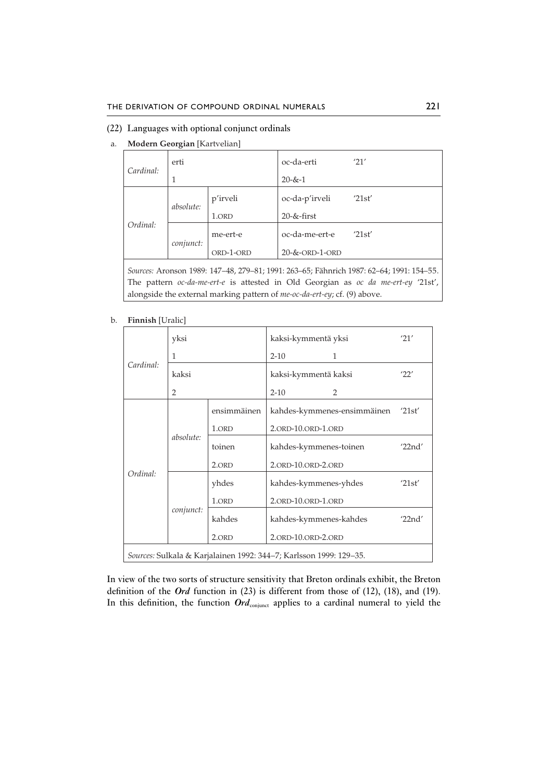### (22) Languages with optional conjunct ordinals

a. **Modern Georgian** [Kartvelian]

| Cardinal: | erti      |           | oc-da-erti               | '21'                                                                                     |
|-----------|-----------|-----------|--------------------------|------------------------------------------------------------------------------------------|
|           |           |           | $20 - 8x - 1$            |                                                                                          |
|           | absolute: | p'irveli  | oc-da-p'irveli           | '21st'                                                                                   |
|           |           | 1.ORD     | $20 - $ &-first          |                                                                                          |
| Ordinal:  | conjunct: | me-ert-e  | oc-da-me-ert-e           | '21st'                                                                                   |
|           |           | ORD-1-ORD | $20 - 8 -$ ORD $-1$ -ORD |                                                                                          |
|           |           |           |                          | Sources: Aronson 1989: 147–48, 279–81; 1991: 263–65; Fähnrich 1987: 62–64; 1991: 154–55. |
|           |           |           |                          | The pattern oc-da-me-ert-e is attested in Old Georgian as oc da me-ert-ey '21st',        |

alongside the external marking pattern of *me-oc-da-ert-ey*; cf. (9) above.

b. **Finnish** [Uralic]

|           | yksi      |             | kaksi-kymmentä yksi                                                |                                    | '21'   |
|-----------|-----------|-------------|--------------------------------------------------------------------|------------------------------------|--------|
| Cardinal: | 1         |             | $2 - 10$                                                           | 1                                  |        |
|           | kaksi     |             | kaksi-kymmentä kaksi                                               | '22'                               |        |
|           | 2         |             | $2 - 10$                                                           | $\mathcal{P}$                      |        |
|           |           | ensimmäinen |                                                                    | kahdes-kymmenes-ensimmäinen '21st' |        |
|           | absolute: | 1.ORD       | 2.ORD-10.ORD-1.ORD                                                 |                                    |        |
|           |           | toinen      | kahdes-kymmenes-toinen                                             | '22nd'                             |        |
|           |           | 2.ORD       | 2.ORD-10.ORD-2.ORD                                                 |                                    |        |
| Ordinal:  |           | yhdes       | kahdes-kymmenes-yhdes                                              |                                    | '21st' |
|           |           | 1.ORD       | 2.ORD-10.ORD-1.ORD                                                 |                                    |        |
|           | conjunct: | kahdes      | kahdes-kymmenes-kahdes                                             |                                    | '22nd' |
|           |           | 2.ORD       | 2.ORD-10.ORD-2.ORD                                                 |                                    |        |
|           |           |             | Sources: Sulkala & Karjalainen 1992: 344–7; Karlsson 1999: 129–35. |                                    |        |

In view of the two sorts of structure sensitivity that Breton ordinals exhibit, the Breton definition of the *Ord* function in (23) is different from those of (12), (18), and (19). In this definition, the function *Ord*<sub>conjunct</sub> applies to a cardinal numeral to yield the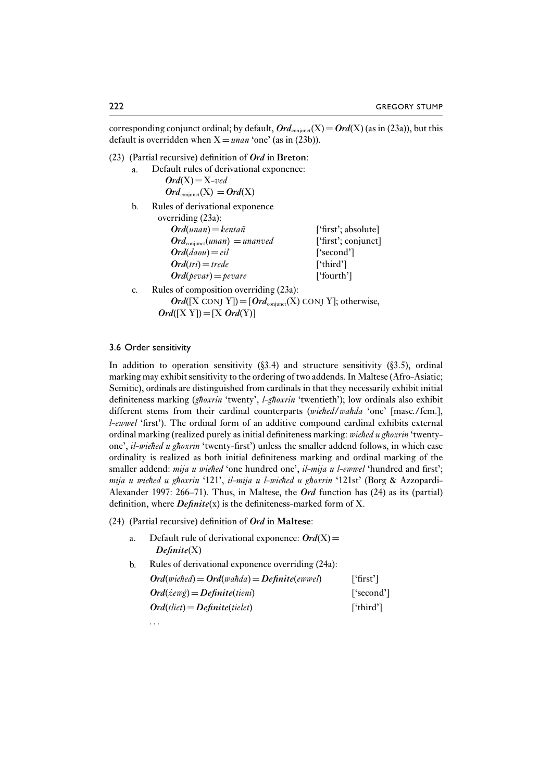corresponding conjunct ordinal; by default,  $Ord_{\text{conimert}}(X) = Ord(X)$  (as in (23a)), but this default is overridden when  $X =$ *unan* 'one' (as in (23b)).

- (23) (Partial recursive) definition of *Ord* in **Breton**:
	- a. Default rules of derivational exponence:  $Ord(X)=X$ *-ved*

 $Ord_{\text{coniunct}}(X) = Ord(X)$ 

b. Rules of derivational exponence overriding (23a):

| 1110111212200                           |                     |
|-----------------------------------------|---------------------|
| $Ord(unan) = kentañ$                    | ['first'; absolute] |
| $Ord_{\text{coniunct}}(unan) = unanved$ | ['first'; conjunct] |
| $Ord(daou) = eil$                       | ['second']          |
| $Ord(tri)=trede$                        | ['third']           |
| $Ord(\mathit{pevar}) = \mathit{pevar}$  | ['fourth']          |

- c. Rules of composition overriding (23a):
	- $Ord([X\text{ CONJ Y}]=[Ord_{\text{conjunct}}(X)\text{ CONJ Y}]$ ; otherwise,  $Ord([X Y]) = [X Ord(Y)]$

#### 3.6 Order sensitivity

In addition to operation sensitivity  $(83.4)$  and structure sensitivity  $(83.5)$ , ordinal marking may exhibit sensitivity to the ordering of two addends. In Maltese (Afro-Asiatic; Semitic), ordinals are distinguished from cardinals in that they necessarily exhibit initial definiteness marking (ghoxrin 'twenty', *l-ghoxrin* 'twentieth'); low ordinals also exhibit different stems from their cardinal counterparts (*wiehed*/*wahda* 'one' [masc./fem.], *l-ewwel* 'first'). The ordinal form of an additive compound cardinal exhibits external ordinal marking (realized purely as initial definiteness marking: *wiehed u ghoxrin* 'twentyone', *il-wiehed u ghoxrin* 'twenty-first') unless the smaller addend follows, in which case ordinality is realized as both initial definiteness marking and ordinal marking of the smaller addend: *mija u wiehed* 'one hundred one', *il-mija u l-ewwel* 'hundred and first'; mija u wiehed u ghoxrin '121', il-mija u l-wiehed u ghoxrin '121st' (Borg & Azzopardi-Alexander 1997: 266–71). Thus, in Maltese, the *Ord* function has (24) as its (partial) definition, where *Definite*(x) is the definiteness-marked form of X.

(24) (Partial recursive) definition of *Ord* in **Maltese**:

- a. Default rule of derivational exponence:  $Ord(X)$ = *Definite*(X)
- b. Rules of derivational exponence overriding (24a):  $Ord(wiehed) = Ord(wa\hbar da) = Definite(ewwel)$  ['first']  $Ord( \n\angle \neq \n\angle \neq \n\angle \neq \n\angle \neq \n\angle$  *[*'second'] *Ord*(*tliet*)=*Definite*(*tielet*) ['third']

*...*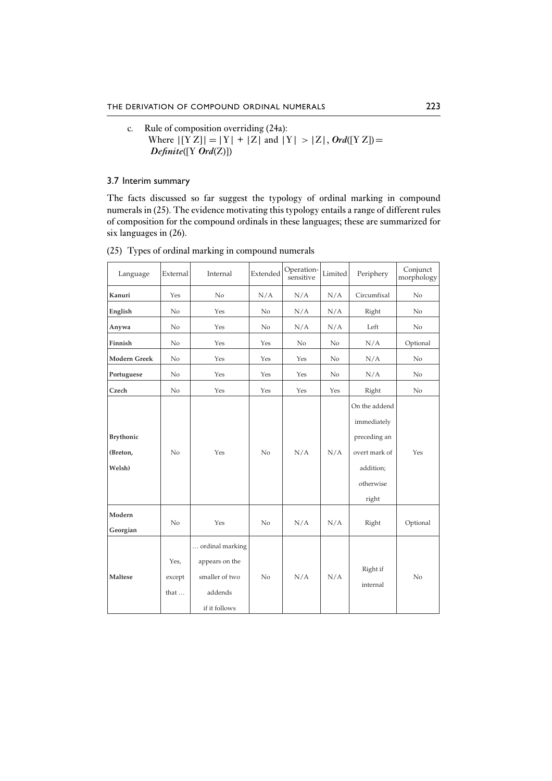c. Rule of composition overriding (24a): Where  $| [YZ] | = |Y| + |Z|$  and  $|Y| > |Z|$ , *Ord*( $[YZ]$ ) = *Definite*([Y *Ord*(Z)])

3.7 Interim summary

The facts discussed so far suggest the typology of ordinal marking in compound numerals in (25). The evidence motivating this typology entails a range of different rules of composition for the compound ordinals in these languages; these are summarized for six languages in (26).

| Language                               | External               | Internal                                                                        | Extended       | Operation-<br>sensitive | Limited | Periphery                                                                                        | Conjunct<br>morphology |
|----------------------------------------|------------------------|---------------------------------------------------------------------------------|----------------|-------------------------|---------|--------------------------------------------------------------------------------------------------|------------------------|
| Kanuri                                 | Yes                    | No                                                                              | N/A            | N/A                     | N/A     | Circumfixal                                                                                      | No                     |
| English                                | N <sub>o</sub>         | Yes                                                                             | No             | N/A                     | N/A     | Right                                                                                            | No                     |
| Anywa                                  | No.                    | Yes                                                                             | No             | N/A                     | N/A     | Left                                                                                             | No                     |
| Finnish                                | No.                    | Yes                                                                             | Yes            | No                      | No      | N/A                                                                                              | Optional               |
| <b>Modern Greek</b>                    | N <sub>o</sub>         | Yes                                                                             | Yes            | Yes                     | No      | N/A                                                                                              | No                     |
| Portuguese                             | No                     | Yes                                                                             | Yes            | Yes                     | No.     | N/A                                                                                              | No                     |
| Czech                                  | N <sub>o</sub>         | Yes                                                                             | Yes            | Yes                     | Yes     | Right                                                                                            | No.                    |
| <b>Brythonic</b><br>(Breton,<br>Welsh) | No                     | Yes                                                                             | No             | N/A                     | N/A     | On the addend<br>immediately<br>preceding an<br>overt mark of<br>addition;<br>otherwise<br>right | Yes                    |
| Modern<br>Georgian                     | No                     | Yes                                                                             | N <sub>o</sub> | N/A                     | N/A     | Right                                                                                            | Optional               |
| Maltese                                | Yes,<br>except<br>that | ordinal marking<br>appears on the<br>smaller of two<br>addends<br>if it follows | No             | N/A                     | N/A     | Right if<br>internal                                                                             | No                     |

(25) Types of ordinal marking in compound numerals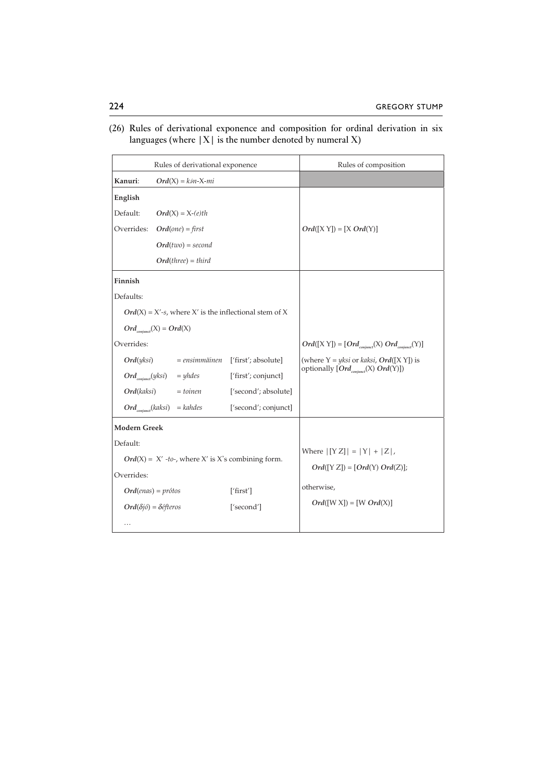(26) Rules of derivational exponence and composition for ordinal derivation in six languages (where  $|X|$  is the number denoted by numeral X)

|                                                             | Rules of derivational exponence                          |                      | Rules of composition                               |
|-------------------------------------------------------------|----------------------------------------------------------|----------------------|----------------------------------------------------|
| Kanuri:                                                     | $Ord(X) = k\'on-X-mi$                                    |                      |                                                    |
| English                                                     |                                                          |                      |                                                    |
| Default:                                                    | $Ord(X) = X-(e)th$                                       |                      |                                                    |
| Overrides:                                                  | $Ord(one) = first$                                       |                      | $Ord([X Y]) = [X Ord(Y)]$                          |
|                                                             | $Ord(two) = second$                                      |                      |                                                    |
|                                                             | $Ord(three) = third)$                                    |                      |                                                    |
| Finnish                                                     |                                                          |                      |                                                    |
| Defaults:                                                   |                                                          |                      |                                                    |
|                                                             | $Ord(X) = X'-s$ , where X' is the inflectional stem of X |                      |                                                    |
|                                                             | $Ord(x) = Ord(X)$                                        |                      |                                                    |
| Overrides:                                                  |                                                          |                      | $Ord([X Y]) = [Ord_{counter}(X) Ord_{counter}(Y)]$ |
| Ord(yksi)                                                   | = ensimmäinen ['first'; absolute]                        |                      | (where $Y = yksi$ or kaksi, <b>Ord</b> ([X Y]) is  |
| $Ord_{\textit{conjunct}}(yksi)$                             | $=$ yhdes                                                | ['first'; conjunct]  | optionally [Ord <sub>conjunct</sub> (X) Ord(Y)])   |
| <b>Ord</b> (kaksi)                                          | $= toinen$                                               | ['second'; absolute] |                                                    |
|                                                             | $Ord_{\text{comfunct}}(kaksi) = kahdes$                  | ['second'; conjunct] |                                                    |
| Modern Greek                                                |                                                          |                      |                                                    |
| Default:                                                    |                                                          |                      |                                                    |
| <i>Ord</i> (X) = $X'$ -to-, where X' is X's combining form. |                                                          |                      | Where $  [Y Z]   =  Y  +  Z $ ,                    |
| Overrides:                                                  |                                                          |                      | $Ord([Y Z]) = [Ord(Y) Ord(Z)];$                    |
|                                                             | $Ord(enas) = prótos$                                     | ['first']            | otherwise,                                         |
|                                                             | $Ord(\delta j\acute{o})=\delta \acute{e}fteros$          | ['second']           | $Ord([W X]) = [W Ord(X)]$                          |
| .                                                           |                                                          |                      |                                                    |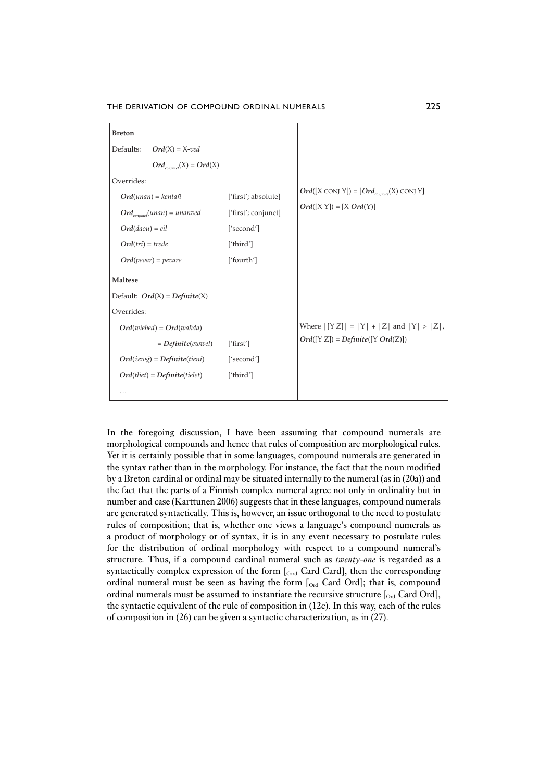THE DERIVATION OF COMPOUND ORDINAL NUMERALS 225

| <b>Breton</b>                              |                     |                                                                     |  |  |  |
|--------------------------------------------|---------------------|---------------------------------------------------------------------|--|--|--|
| Defaults:<br>$Ord(X) = X-ved$              |                     |                                                                     |  |  |  |
| $Ord_{\text{conimct}}(X) = Ord(X)$         |                     |                                                                     |  |  |  |
| Overrides:                                 |                     |                                                                     |  |  |  |
| $Ord(unan) = kentañ$                       | ['first'; absolute] | $Ord([X\text{ CONJ Y}]) = [Ord_{\text{coniunct}}(X)\text{ CONJ Y}]$ |  |  |  |
| $Ord_{\text{conjunction}}(unan) = unanved$ | ['first'; conjunct] | $Ord([X Y]) = [X Ord(Y)]$                                           |  |  |  |
| $Ord(daou) = eil$                          | ['second']          |                                                                     |  |  |  |
| $Ord(tri) = trede$                         | ['third']           |                                                                     |  |  |  |
| $Ord(pevar) = pevare$                      | ['fourth']          |                                                                     |  |  |  |
| <b>Maltese</b>                             |                     |                                                                     |  |  |  |
| Default: $Ord(X) = Definite(X)$            |                     |                                                                     |  |  |  |
| Overrides:                                 |                     |                                                                     |  |  |  |
| $Ord(wiehed) = Ord(wahda)$                 |                     | Where $  [YZ]   =  Y  +  Z $ and $ Y  >  Z $ ,                      |  |  |  |
| $= Definite(ewwell)$                       | ['first']           | $Ord([Y Z]) = Definite([Y Ord(Z)])$                                 |  |  |  |
| $Ord(żew\g) = Definite(tieni)$             | ['second']          |                                                                     |  |  |  |
| $Ord(tliet) = Definite(tielet)$            | ['third']           |                                                                     |  |  |  |
| .                                          |                     |                                                                     |  |  |  |
|                                            |                     |                                                                     |  |  |  |

In the foregoing discussion, I have been assuming that compound numerals are morphological compounds and hence that rules of composition are morphological rules. Yet it is certainly possible that in some languages, compound numerals are generated in the syntax rather than in the morphology. For instance, the fact that the noun modified by a Breton cardinal or ordinal may be situated internally to the numeral (as in (20a)) and the fact that the parts of a Finnish complex numeral agree not only in ordinality but in number and case (Karttunen 2006) suggests that in these languages, compound numerals are generated syntactically. This is, however, an issue orthogonal to the need to postulate rules of composition; that is, whether one views a language's compound numerals as a product of morphology or of syntax, it is in any event necessary to postulate rules for the distribution of ordinal morphology with respect to a compound numeral's structure. Thus, if a compound cardinal numeral such as *twenty-one* is regarded as a syntactically complex expression of the form  $[<sub>Card</sub>$  Card Card], then the corresponding ordinal numeral must be seen as having the form  $[<sub>Ord</sub>]$  Card Ord]; that is, compound ordinal numerals must be assumed to instantiate the recursive structure  $\int_{Ord}$  Card Ord], the syntactic equivalent of the rule of composition in (12c). In this way, each of the rules of composition in (26) can be given a syntactic characterization, as in (27).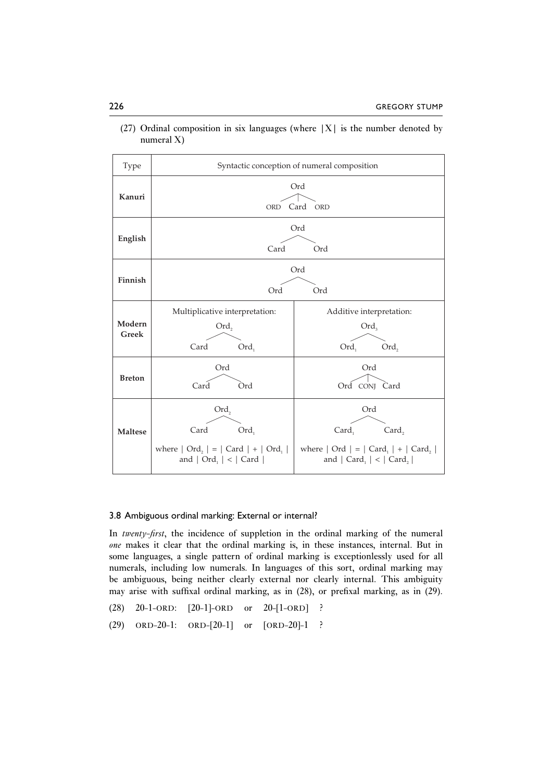| <b>Type</b>            |                                                                                               | Syntactic conception of numeral composition                                                                                                                                 |  |  |  |  |
|------------------------|-----------------------------------------------------------------------------------------------|-----------------------------------------------------------------------------------------------------------------------------------------------------------------------------|--|--|--|--|
| Kanuri                 | Ord<br>Card<br>ORD<br><b>ORD</b>                                                              |                                                                                                                                                                             |  |  |  |  |
| English                | Card                                                                                          | Ord<br>Ord                                                                                                                                                                  |  |  |  |  |
| Finnish                | Ord                                                                                           | Ord<br>Ord                                                                                                                                                                  |  |  |  |  |
| Modern<br><b>Greek</b> | Multiplicative interpretation:<br>$Ord_2$<br>Card<br>Ord,                                     | Additive interpretation:<br>$Ord_{3}$<br>$Ord_1$<br>Ord,                                                                                                                    |  |  |  |  |
| <b>Breton</b>          | Ord<br>Card<br>Ord                                                                            | Ord<br>Ord CONJ Card                                                                                                                                                        |  |  |  |  |
| <b>Maltese</b>         | $Ord_2$<br>Card<br>Ord,<br>where $ Ord_2  =   Card   +   Ord_1 $<br>and $ Ord_{1}  <  Card  $ | Ord<br>Card,<br>Card <sub>1</sub><br>where $ $ Ord $ $ = $ $ Card <sub>1</sub> $ $ + $ $ Card <sub>2</sub> $ $<br>and $ $ Card <sub>1</sub> $ $ < $ $ Card <sub>2</sub> $ $ |  |  |  |  |

(27) Ordinal composition in six languages (where  $|X|$  is the number denoted by numeral X)

#### 3.8 Ambiguous ordinal marking: External or internal?

In *twenty-first*, the incidence of suppletion in the ordinal marking of the numeral *one* makes it clear that the ordinal marking is, in these instances, internal. But in some languages, a single pattern of ordinal marking is exceptionlessly used for all numerals, including low numerals. In languages of this sort, ordinal marking may be ambiguous, being neither clearly external nor clearly internal. This ambiguity may arise with suffixal ordinal marking, as in (28), or prefixal marking, as in (29).

- (28) 20-1-ORD: [20-1]-ORD or 20-[1-ORD] ?
- (29) ORD-20-1: ORD-[20-1] or [ORD-20]-1 ?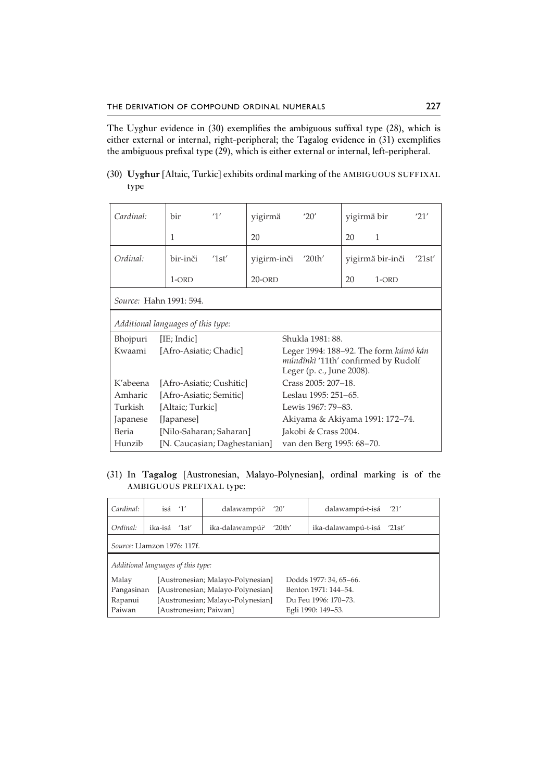The Uyghur evidence in (30) exemplifies the ambiguous suffixal type (28), which is either external or internal, right-peripheral; the Tagalog evidence in (31) exemplifies the ambiguous prefixal type (29), which is either external or internal, left-peripheral.

(30) **Uyghur** [Altaic, Turkic] exhibits ordinal marking of the AMBIGUOUS SUFFIXAL type

| Cardinal:                          | hir                          | '1'  | yigirmä     |                                                                                                           | '20'                            | yigirmä bir |                  | '21'   |  |
|------------------------------------|------------------------------|------|-------------|-----------------------------------------------------------------------------------------------------------|---------------------------------|-------------|------------------|--------|--|
|                                    | 1                            |      | 20          |                                                                                                           |                                 | 20          | 1                |        |  |
| Ordinal:                           | bir-inči                     | 1st' | yigirm-inči |                                                                                                           | '20th'                          |             | yigirmä bir-inči | '21st' |  |
|                                    | $1$ -ORD                     |      | $20$ -ORD   |                                                                                                           |                                 | 20          | $1$ -ORD         |        |  |
| Source: Hahn 1991: 594.            |                              |      |             |                                                                                                           |                                 |             |                  |        |  |
| Additional languages of this type: |                              |      |             |                                                                                                           |                                 |             |                  |        |  |
| Bhojpuri                           | [IE; Indic]                  |      |             | Shukla 1981: 88.                                                                                          |                                 |             |                  |        |  |
| Kwaami                             | [Afro-Asiatic; Chadic]       |      |             | Leger 1994: 188–92. The form kúmó kán<br>múndînkì '11th' confirmed by Rudolf<br>Leger (p. c., June 2008). |                                 |             |                  |        |  |
| K'abeena                           | [Afro-Asiatic; Cushitic]     |      |             | Crass 2005: 207-18.                                                                                       |                                 |             |                  |        |  |
| Amharic                            | [Afro-Asiatic; Semitic]      |      |             | Leslau 1995: 251–65.                                                                                      |                                 |             |                  |        |  |
| Turkish                            | [Altaic; Turkic]             |      |             | Lewis 1967: 79-83.                                                                                        |                                 |             |                  |        |  |
| Japanese                           | [Japanese]                   |      |             |                                                                                                           | Akiyama & Akiyama 1991: 172–74. |             |                  |        |  |
| Beria                              | [Nilo-Saharan; Saharan]      |      |             |                                                                                                           | Jakobi & Crass 2004.            |             |                  |        |  |
| Hunzib                             | [N. Caucasian; Daghestanian] |      |             | van den Berg 1995: 68–70.                                                                                 |                                 |             |                  |        |  |

(31) In **Tagalog** [Austronesian, Malayo-Polynesian], ordinal marking is of the AMBIGUOUS PREFIXAL type:

| Cardinal:                                                            | isá'1'                 | dalawampú?                        | '20'   | dalawampú-t-isá            | '21' |  |  |  |
|----------------------------------------------------------------------|------------------------|-----------------------------------|--------|----------------------------|------|--|--|--|
| Ordinal:                                                             | ika-isá '1st'          | ika-dalawampú?                    | '20th' | ika-dalawampú-t-isá '21st' |      |  |  |  |
| Source: Llamzon 1976: 117f.                                          |                        |                                   |        |                            |      |  |  |  |
| Additional languages of this type:                                   |                        |                                   |        |                            |      |  |  |  |
| Malay<br>[Austronesian; Malayo-Polynesian]<br>Dodds 1977: 34, 65–66. |                        |                                   |        |                            |      |  |  |  |
| Pangasinan                                                           |                        | [Austronesian; Malayo-Polynesian] |        | Benton 1971: 144-54.       |      |  |  |  |
| Rapanui                                                              |                        | [Austronesian; Malayo-Polynesian] |        | Du Feu 1996: 170–73.       |      |  |  |  |
| Paiwan                                                               | [Austronesian; Paiwan] |                                   |        | Egli 1990: 149–53.         |      |  |  |  |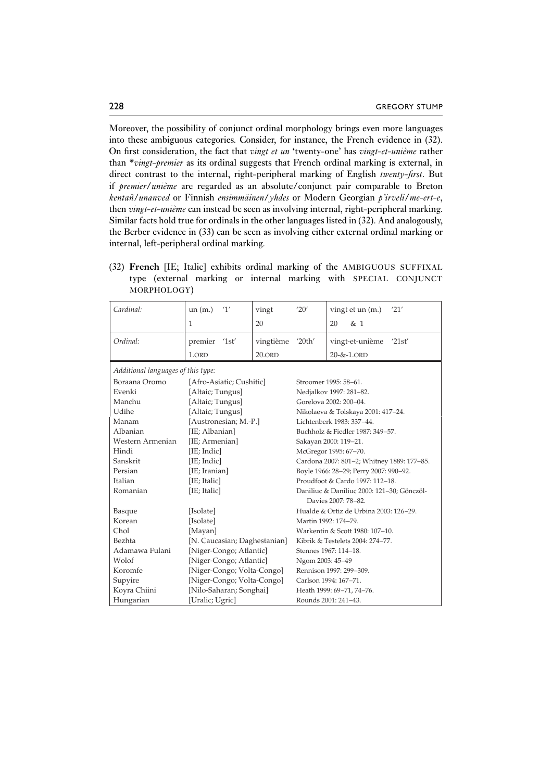Moreover, the possibility of conjunct ordinal morphology brings even more languages into these ambiguous categories. Consider, for instance, the French evidence in (32). On first consideration, the fact that *vingt et un* 'twenty-one' has *vingt-et-unième* rather than \**vingt-premier* as its ordinal suggests that French ordinal marking is external, in direct contrast to the internal, right-peripheral marking of English *twenty-first*. But if *premier*/*unième* are regarded as an absolute/conjunct pair comparable to Breton *kentañ/unanved* or Finnish *ensimmäinen*/*yhdes* or Modern Georgian *p'irveli*/*me-ert-e*, then *vingt-et-unième* can instead be seen as involving internal, right-peripheral marking. Similar facts hold true for ordinals in the other languages listed in (32). And analogously, the Berber evidence in (33) can be seen as involving either external ordinal marking or internal, left-peripheral ordinal marking.

|  |             |  |  | (32) French [IE; Italic] exhibits ordinal marking of the AMBIGUOUS SUFFIXAL |  |
|--|-------------|--|--|-----------------------------------------------------------------------------|--|
|  |             |  |  | type (external marking or internal marking with SPECIAL CONJUNCT            |  |
|  | MORPHOLOGY) |  |  |                                                                             |  |

| Cardinal:                                 | 1'<br>un(m.)               | vingt                            | '20'                                       | vingt et un (m.)<br>'21'  |  |
|-------------------------------------------|----------------------------|----------------------------------|--------------------------------------------|---------------------------|--|
|                                           | $\mathbf{1}$               | 20                               |                                            | 20<br>& 1                 |  |
| Ordinal:                                  | premier<br>'1st'           | vingtième                        | '20th'                                     | vingt-et-unième<br>'21st' |  |
|                                           | 1.ORD                      | $20.$ ORD                        |                                            | $20 - 8 - 1.$ ORD         |  |
| Additional languages of this type:        |                            |                                  |                                            |                           |  |
| Boraana Oromo                             | [Afro-Asiatic; Cushitic]   |                                  | Stroomer 1995: 58-61.                      |                           |  |
| Evenki                                    | [Altaic; Tungus]           |                                  | Nedjalkov 1997: 281-82.                    |                           |  |
| Manchu                                    | [Altaic; Tungus]           |                                  | Gorelova 2002: 200-04.                     |                           |  |
| Udihe                                     | [Altaic; Tungus]           |                                  | Nikolaeva & Tolskaya 2001: 417-24.         |                           |  |
| Manam                                     | [Austronesian; M.-P.]      |                                  | Lichtenberk 1983: 337-44.                  |                           |  |
| Albanian                                  | [IE; Albanian]             |                                  | Buchholz & Fiedler 1987: 349-57.           |                           |  |
| Western Armenian                          | [IE; Armenian]             |                                  | Sakayan 2000: 119-21.                      |                           |  |
| Hindi                                     | [IE; Indic]                |                                  | McGregor 1995: 67-70.                      |                           |  |
| Sanskrit                                  | [IE; Indic]                |                                  | Cardona 2007: 801-2; Whitney 1889: 177-85. |                           |  |
| Persian                                   | [IE; Iranian]              |                                  | Boyle 1966: 28-29; Perry 2007: 990-92.     |                           |  |
| Italian                                   | [IE; Italic]               |                                  | Proudfoot & Cardo 1997: 112-18.            |                           |  |
| Romanian                                  | [IE; Italic]               |                                  | Daniliuc & Daniliuc 2000: 121-30; Gönczöl- |                           |  |
| Davies 2007: 78-82.                       |                            |                                  |                                            |                           |  |
| Basque                                    | [Isolate]                  |                                  | Hualde & Ortiz de Urbina 2003: 126-29.     |                           |  |
| Korean                                    | [Isolate]                  |                                  | Martin 1992: 174-79.                       |                           |  |
| Chol                                      | [Mayan]                    |                                  | Warkentin & Scott 1980: 107-10.            |                           |  |
| Bezhta<br>[N. Caucasian; Daghestanian]    |                            | Kibrik & Testelets 2004: 274-77. |                                            |                           |  |
| [Niger-Congo; Atlantic]<br>Adamawa Fulani |                            | Stennes 1967: 114-18.            |                                            |                           |  |
| Wolof                                     | [Niger-Congo; Atlantic]    |                                  | Ngom 2003: 45-49                           |                           |  |
| Koromfe                                   | [Niger-Congo; Volta-Congo] |                                  | Rennison 1997: 299-309.                    |                           |  |
| Supyire                                   | [Niger-Congo; Volta-Congo] |                                  | Carlson 1994: 167-71.                      |                           |  |
| Koyra Chiini                              | [Nilo-Saharan; Songhai]    |                                  | Heath 1999: 69-71, 74-76.                  |                           |  |
| Hungarian                                 | [Uralic; Ugric]            |                                  | Rounds 2001: 241-43.                       |                           |  |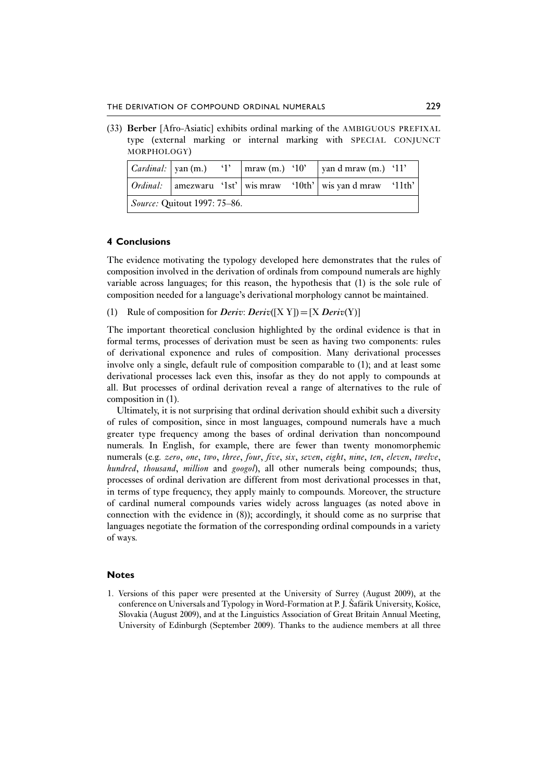(33) **Berber** [Afro-Asiatic] exhibits ordinal marking of the AMBIGUOUS PREFIXAL type (external marking or internal marking with SPECIAL CONJUNCT MORPHOLOGY)

|                                     |  |  | $\boxed{Cardinal:$   yan (m.) $\boxed{1'}$   mraw (m.) $\boxed{10'}$ |  | $\vert$ yan d mraw (m.) '11'                                        |  |  |
|-------------------------------------|--|--|----------------------------------------------------------------------|--|---------------------------------------------------------------------|--|--|
|                                     |  |  |                                                                      |  | Ordinal:   amezwaru '1st'   wis mraw '10th'   wis yan d mraw '11th' |  |  |
| <i>Source:</i> Quitout 1997: 75–86. |  |  |                                                                      |  |                                                                     |  |  |

#### **4 Conclusions**

The evidence motivating the typology developed here demonstrates that the rules of composition involved in the derivation of ordinals from compound numerals are highly variable across languages; for this reason, the hypothesis that (1) is the sole rule of composition needed for a language's derivational morphology cannot be maintained.

(1) Rule of composition for *Deriv*: *Deriv*([X Y]) = [X *Deriv*(Y)]

The important theoretical conclusion highlighted by the ordinal evidence is that in formal terms, processes of derivation must be seen as having two components: rules of derivational exponence and rules of composition. Many derivational processes involve only a single, default rule of composition comparable to (1); and at least some derivational processes lack even this, insofar as they do not apply to compounds at all. But processes of ordinal derivation reveal a range of alternatives to the rule of composition in (1).

Ultimately, it is not surprising that ordinal derivation should exhibit such a diversity of rules of composition, since in most languages, compound numerals have a much greater type frequency among the bases of ordinal derivation than noncompound numerals. In English, for example, there are fewer than twenty monomorphemic numerals (e.g. *zero*, *one*, *two*, *three*, *four*, *five*, *six*, *seven*, *eight*, *nine*, *ten*, *eleven*, *twelve*, *hundred*, *thousand*, *million* and *googol*), all other numerals being compounds; thus, processes of ordinal derivation are different from most derivational processes in that, in terms of type frequency, they apply mainly to compounds. Moreover, the structure of cardinal numeral compounds varies widely across languages (as noted above in connection with the evidence in (8)); accordingly, it should come as no surprise that languages negotiate the formation of the corresponding ordinal compounds in a variety of ways.

#### **Notes**

1. Versions of this paper were presented at the University of Surrey (August 2009), at the conference on Universals and Typology in Word-Formation at P. J. Šafárik University, Košice, Slovakia (August 2009), and at the Linguistics Association of Great Britain Annual Meeting, University of Edinburgh (September 2009). Thanks to the audience members at all three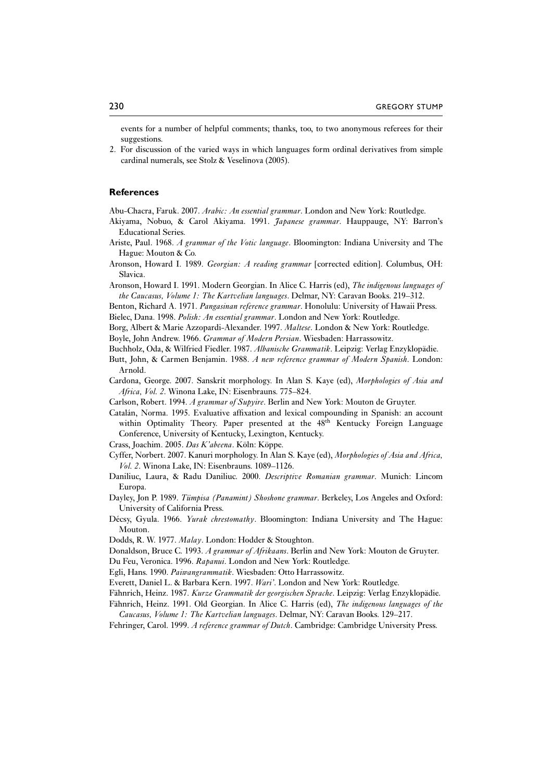events for a number of helpful comments; thanks, too, to two anonymous referees for their suggestions.

2. For discussion of the varied ways in which languages form ordinal derivatives from simple cardinal numerals, see Stolz & Veselinova (2005).

#### **References**

Abu-Chacra, Faruk. 2007. *Arabic: An essential grammar*. London and New York: Routledge.

- Akiyama, Nobuo, & Carol Akiyama. 1991. *Japanese grammar*. Hauppauge, NY: Barron's Educational Series.
- Ariste, Paul. 1968. *A grammar of the Votic language*. Bloomington: Indiana University and The Hague: Mouton & Co.
- Aronson, Howard I. 1989. *Georgian: A reading grammar* [corrected edition]. Columbus, OH: Slavica.
- Aronson, Howard I. 1991. Modern Georgian. In Alice C. Harris (ed), *The indigenous languages of the Caucasus, Volume 1: The Kartvelian languages*. Delmar, NY: Caravan Books. 219–312.

Benton, Richard A. 1971. *Pangasinan reference grammar*. Honolulu: University of Hawaii Press. Bielec, Dana. 1998. *Polish: An essential grammar*. London and New York: Routledge.

Borg, Albert & Marie Azzopardi-Alexander. 1997. *Maltese*. London & New York: Routledge.

Boyle, John Andrew. 1966. *Grammar of Modern Persian*. Wiesbaden: Harrassowitz.

Buchholz, Oda, & Wilfried Fiedler. 1987. *Albanische Grammatik*. Leipzig: Verlag Enzyklopädie.

- Butt, John, & Carmen Benjamin. 1988. *A new reference grammar of Modern Spanish*. London: Arnold.
- Cardona, George. 2007. Sanskrit morphology. In Alan S. Kaye (ed), *Morphologies of Asia and Africa, Vol. 2*. Winona Lake, IN: Eisenbrauns. 775–824.

Carlson, Robert. 1994. *A grammar of Supyire*. Berlin and New York: Mouton de Gruyter.

- Catalán, Norma. 1995. Evaluative affixation and lexical compounding in Spanish: an account within Optimality Theory. Paper presented at the 48<sup>th</sup> Kentucky Foreign Language Conference, University of Kentucky, Lexington, Kentucky.
- Crass, Joachim. 2005. *Das K'abeena*. Köln: Köppe.
- Cyffer, Norbert. 2007. Kanuri morphology. In Alan S. Kaye (ed), *Morphologies of Asia and Africa, Vol. 2*. Winona Lake, IN: Eisenbrauns. 1089–1126.
- Daniliuc, Laura, & Radu Daniliuc. 2000. *Descriptive Romanian grammar*. Munich: Lincom Europa.
- Dayley, Jon P. 1989. *Tümpisa (Panamint) Shoshone grammar*. Berkeley, Los Angeles and Oxford: University of California Press.
- Décsy, Gyula. 1966. *Yurak chrestomathy*. Bloomington: Indiana University and The Hague: Mouton.

Dodds, R. W. 1977. *Malay*. London: Hodder & Stoughton.

Donaldson, Bruce C. 1993. *A grammar of Afrikaans*. Berlin and New York: Mouton de Gruyter. Du Feu, Veronica. 1996. *Rapanui*. London and New York: Routledge.

Egli, Hans. 1990. *Paiwangrammatik*. Wiesbaden: Otto Harrassowitz.

- Everett, Daniel L. & Barbara Kern. 1997. *Wari'*. London and New York: Routledge.
- 
- Fähnrich, Heinz. 1987. *Kurze Grammatik der georgischen Sprache*. Leipzig: Verlag Enzyklopädie.
- Fähnrich, Heinz. 1991. Old Georgian. In Alice C. Harris (ed), *The indigenous languages of the Caucasus, Volume 1: The Kartvelian languages*. Delmar, NY: Caravan Books. 129–217.
- Fehringer, Carol. 1999. *A reference grammar of Dutch*. Cambridge: Cambridge University Press.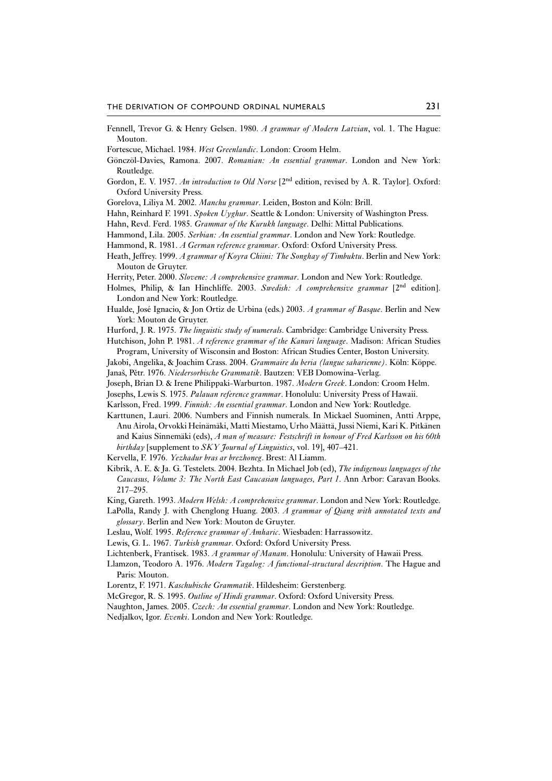- Fennell, Trevor G. & Henry Gelsen. 1980. *A grammar of Modern Latvian*, vol. 1. The Hague: Mouton.
- Fortescue, Michael. 1984. *West Greenlandic*. London: Croom Helm.
- Gönczöl-Davies, Ramona. 2007. *Romanian: An essential grammar*. London and New York: Routledge.
- Gordon, E. V. 1957. *An introduction to Old Norse* [2nd edition, revised by A. R. Taylor]. Oxford: Oxford University Press.
- Gorelova, Liliya M. 2002. *Manchu grammar*. Leiden, Boston and Köln: Brill.
- Hahn, Reinhard F. 1991. *Spoken Uyghur*. Seattle & London: University of Washington Press.
- Hahn, Revd. Ferd. 1985. *Grammar of the Kurukh language*. Delhi: Mittal Publications.
- Hammond, Lila. 2005. *Serbian: An essential grammar*. London and New York: Routledge.
- Hammond, R. 1981. *A German reference grammar*. Oxford: Oxford University Press.
- Heath, Jeffrey. 1999. *A grammar of Koyra Chiini: The Songhay of Timbuktu*. Berlin and New York: Mouton de Gruyter.
- Herrity, Peter. 2000. *Slovene: A comprehensive grammar*. London and New York: Routledge.
- Holmes, Philip, & Ian Hinchliffe. 2003. *Swedish: A comprehensive grammar* [2nd edition]. London and New York: Routledge.
- Hualde, José Ignacio, & Jon Ortiz de Urbina (eds.) 2003. *A grammar of Basque*. Berlin and New York: Mouton de Gruyter.

Hurford, J. R. 1975. *The linguistic study of numerals*. Cambridge: Cambridge University Press.

- Hutchison, John P. 1981. *A reference grammar of the Kanuri language*. Madison: African Studies Program, University of Wisconsin and Boston: African Studies Center, Boston University.
- Jakobi, Angelika, & Joachim Crass. 2004. *Grammaire du beria (langue saharienne)*. Köln: Köppe. Janaš, Pětr. 1976. *Niedersorbische Grammatik*. Bautzen: VEB Domowina-Verlag.
- Joseph, Brian D. & Irene Philippaki-Warburton. 1987. *Modern Greek*. London: Croom Helm.
- Josephs, Lewis S. 1975. *Palauan reference grammar*. Honolulu: University Press of Hawaii.
- Karlsson, Fred. 1999. *Finnish: An essential grammar*. London and New York: Routledge.
- Karttunen, Lauri. 2006. Numbers and Finnish numerals. In Mickael Suominen, Antti Arppe, Anu Airola, Orvokki Heinämäki, Matti Miestamo, Urho Määttä, Jussi Niemi, Kari K. Pitkänen and Kaius Sinnemäki (eds), *A man of measure: Festschrift in honour of Fred Karlsson on his 60th birthday* [supplement to *SKY Journal of Linguistics*, vol. 19], 407–421.

Kervella, F. 1976. *Yezhadur bras ar brezhoneg*. Brest: Al Liamm.

- Kibrik, A. E. & Ja. G. Testelets. 2004. Bezhta. In Michael Job (ed), *The indigenous languages of the Caucasus, Volume 3: The North East Caucasian languages, Part 1*. Ann Arbor: Caravan Books. 217–295.
- King, Gareth. 1993. *Modern Welsh: A comprehensive grammar*. London and New York: Routledge.
- LaPolla, Randy J. with Chenglong Huang. 2003. *A grammar of Qiang with annotated texts and glossary*. Berlin and New York: Mouton de Gruyter.
- Leslau, Wolf. 1995. *Reference grammar of Amharic*. Wiesbaden: Harrassowitz.
- Lewis, G. L. 1967. *Turkish grammar*. Oxford: Oxford University Press.
- Lichtenberk, Frantisek. 1983. *A grammar of Manam*. Honolulu: University of Hawaii Press.
- Llamzon, Teodoro A. 1976. *Modern Tagalog: A functional-structural description*. The Hague and Paris: Mouton.
- Lorentz, F. 1971. *Kaschubische Grammatik*. Hildesheim: Gerstenberg.
- McGregor, R. S. 1995. *Outline of Hindi grammar*. Oxford: Oxford University Press.
- Naughton, James. 2005. *Czech: An essential grammar*. London and New York: Routledge.
- Nedjalkov, Igor. *Evenki*. London and New York: Routledge.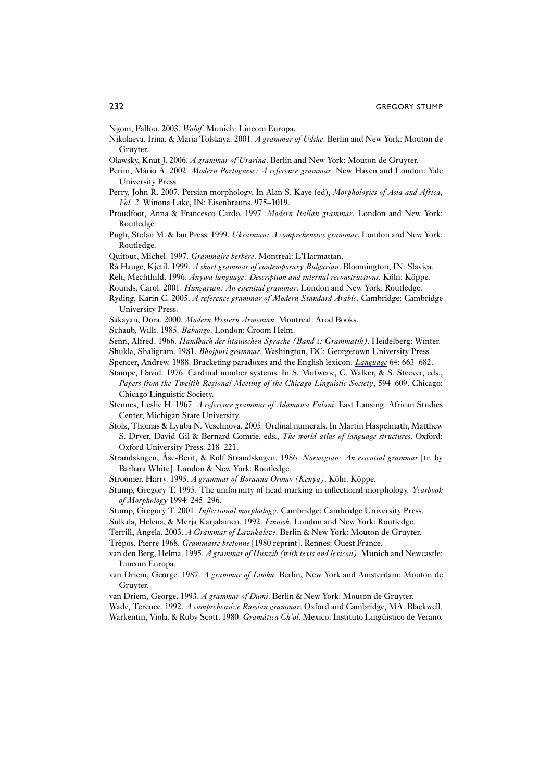Ngom, Fallou. 2003. *Wolof*. Munich: Lincom Europa.

- Nikolaeva, Irina, & Maria Tolskaya. 2001. *A grammar of Udihe*. Berlin and New York: Mouton de Gruyter.
- Olawsky, Knut J. 2006. *A grammar of Urarina*. Berlin and New York: Mouton de Gruyter.
- Perini, Mário A. 2002. *Modern Portuguese: A reference grammar*. New Haven and London: Yale University Press.
- Perry, John R. 2007. Persian morphology. In Alan S. Kaye (ed), *Morphologies of Asia and Africa, Vol. 2*. Winona Lake, IN: Eisenbrauns. 975–1019.
- Proudfoot, Anna & Francesco Cardo. 1997. *Modern Italian grammar*. London and New York: Routledge.
- Pugh, Stefan M. & Ian Press. 1999. *Ukrainian: A comprehensive grammar*. London and New York: Routledge.
- Quitout, Michel. 1997. *Grammaire berbère*. Montreal: L'Harmattan.
- Rå Hauge, Kjetil. 1999. *A short grammar of contemporary Bulgarian*. Bloomington, IN: Slavica.
- Reh, Mechthild. 1996. *Anywa language: Description and internal reconstructions*. Köln: Köppe.
- Rounds, Carol. 2001. *Hungarian: An essential grammar*. London and New York: Routledge.
- Ryding, Karin C. 2005. *A reference grammar of Modern Standard Arabic*. Cambridge: Cambridge University Press.
- Sakayan, Dora. 2000. *Modern Western Armenian*. Montreal: Arod Books.
- Schaub, Willi. 1985. *Babungo*. London: Croom Helm.
- Senn, Alfred. 1966. *Handbuch der litauischen Sprache (Band* I*: Grammatik)*. Heidelberg: Winter. Shukla, Shaligram. 1981. *Bhojpuri grammar*. Washington, DC: Georgetown University Press.
- Spencer, Andrew. 1988. Bracketing paradoxes and the English lexicon. *Language* 64: 663–682.
- Stampe, David. 1976. Cardinal number systems. In S. Mufwene, C. Walker, & S. Steever, eds.,
- *Papers from the Twelfth Regional Meeting of the Chicago Linguistic Society*, 594–609. Chicago: Chicago Linguistic Society.
- Stennes, Leslie H. 1967. *A reference grammar of Adamawa Fulani*. East Lansing: African Studies Center, Michigan State University.
- Stolz, Thomas & Lyuba N. Veselinova. 2005. Ordinal numerals. In Martin Haspelmath, Matthew S. Dryer, David Gil & Bernard Comrie, eds., *The world atlas of language structures*. Oxford: Oxford University Press. 218–221.
- Strandskogen, Åse-Berit, & Rolf Strandskogen. 1986. *Norwegian: An essential grammar* [tr. by Barbara White]. London & New York: Routledge.
- Stroomer, Harry. 1995. *A grammar of Boraana Oromo (Kenya)*. Köln: Köppe.
- Stump, Gregory T. 1995. The uniformity of head marking in inflectional morphology. *Yearbook of Morphology* 1994: 245–296.
- Stump, Gregory T. 2001. *Inflectional morphology*. Cambridge: Cambridge University Press.
- Sulkala, Helena, & Merja Karjalainen. 1992. *Finnish*. London and New York: Routledge.
- Terrill, Angela. 2003. *A Grammar of Lavukaleve*. Berlin & New York: Mouton de Gruyter.
- Trépos, Pierre 1968. *Grammaire bretonne* [1980 reprint]. Rennes: Ouest France.
- van den Berg, Helma. 1995. *A grammar of Hunzib (with texts and lexicon)*. Munich and Newcastle: Lincom Europa.
- van Driem, George. 1987. *A grammar of Limbu*. Berlin, New York and Amsterdam: Mouton de Gruyter.
- van Driem, George. 1993. *A grammar of Dumi*. Berlin & New York: Mouton de Gruyter.
- Wade, Terence. 1992. *A comprehensive Russian grammar*. Oxford and Cambridge, MA: Blackwell.
- Warkentin, Viola, & Ruby Scott. 1980. *Gramática Ch'ol*. Mexico: Instituto Lingüístico de Verano.